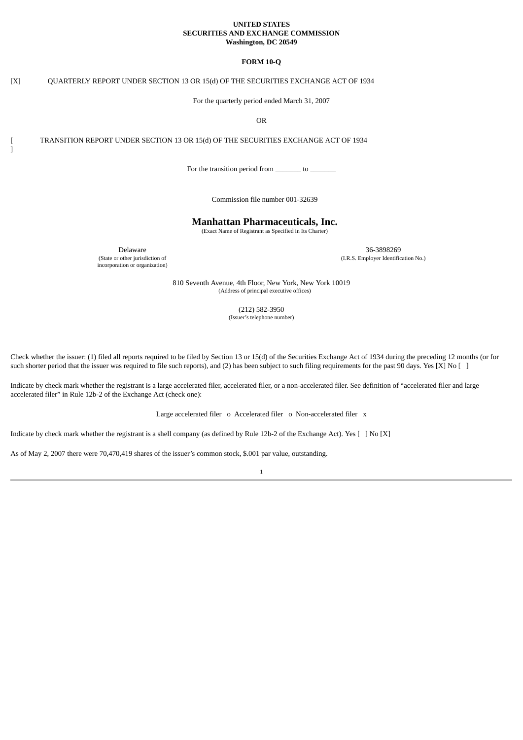### **UNITED STATES SECURITIES AND EXCHANGE COMMISSION Washington, DC 20549**

**FORM 10-Q**

# [X] QUARTERLY REPORT UNDER SECTION 13 OR 15(d) OF THE SECURITIES EXCHANGE ACT OF 1934

For the quarterly period ended March 31, 2007

OR

TRANSITION REPORT UNDER SECTION 13 OR 15(d) OF THE SECURITIES EXCHANGE ACT OF 1934

For the transition period from \_\_\_\_\_\_\_ to \_\_\_\_\_\_\_

Commission file number 001-32639

## **Manhattan Pharmaceuticals, Inc.**

(Exact Name of Registrant as Specified in Its Charter)

Delaware (State or other jurisdiction of incorporation or organization)

 $\overline{\phantom{a}}$ ]

> 36-3898269 (I.R.S. Employer Identification No.)

810 Seventh Avenue, 4th Floor, New York, New York 10019 (Address of principal executive offices)

> (212) 582-3950 (Issuer's telephone number)

Check whether the issuer: (1) filed all reports required to be filed by Section 13 or 15(d) of the Securities Exchange Act of 1934 during the preceding 12 months (or for such shorter period that the issuer was required to file such reports), and (2) has been subject to such filing requirements for the past 90 days. Yes [X] No []

Indicate by check mark whether the registrant is a large accelerated filer, accelerated filer, or a non-accelerated filer. See definition of "accelerated filer and large accelerated filer" in Rule 12b-2 of the Exchange Act (check one):

Large accelerated filer o Accelerated filer o Non-accelerated filer x

Indicate by check mark whether the registrant is a shell company (as defined by Rule 12b-2 of the Exchange Act). Yes [ ] No [X]

As of May 2, 2007 there were 70,470,419 shares of the issuer's common stock, \$.001 par value, outstanding.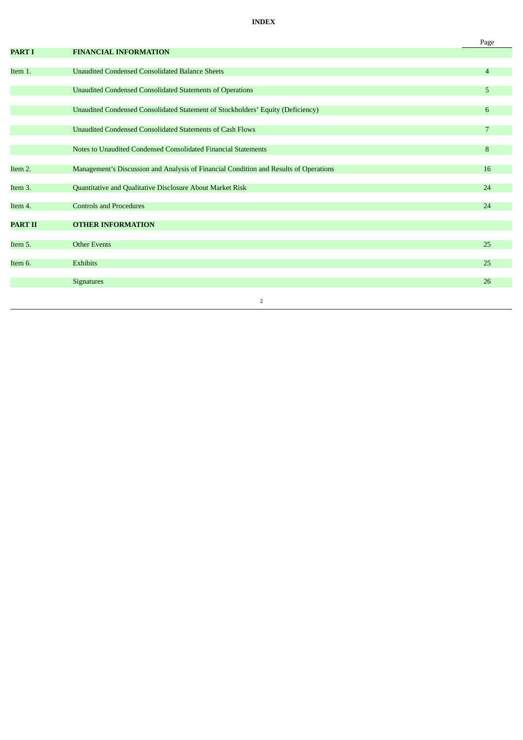**INDEX**

|                |                                                                                       | Page           |
|----------------|---------------------------------------------------------------------------------------|----------------|
| <b>PART I</b>  | <b>FINANCIAL INFORMATION</b>                                                          |                |
|                |                                                                                       |                |
| Item 1.        | <b>Unaudited Condensed Consolidated Balance Sheets</b>                                | $\overline{4}$ |
|                |                                                                                       |                |
|                | <b>Unaudited Condensed Consolidated Statements of Operations</b>                      | 5              |
|                |                                                                                       |                |
|                | Unaudited Condensed Consolidated Statement of Stockholders' Equity (Deficiency)       | 6              |
|                | Unaudited Condensed Consolidated Statements of Cash Flows                             | 7              |
|                |                                                                                       |                |
|                | Notes to Unaudited Condensed Consolidated Financial Statements                        | 8              |
|                |                                                                                       |                |
| Item 2.        | Management's Discussion and Analysis of Financial Condition and Results of Operations | 16             |
|                |                                                                                       |                |
| Item 3.        | Quantitative and Qualitative Disclosure About Market Risk                             | 24             |
| Item 4.        | <b>Controls and Procedures</b>                                                        | 24             |
|                |                                                                                       |                |
| <b>PART II</b> | <b>OTHER INFORMATION</b>                                                              |                |
|                |                                                                                       |                |
| Item 5.        | <b>Other Events</b>                                                                   | 25             |
|                |                                                                                       |                |
| Item 6.        | <b>Exhibits</b>                                                                       | 25             |
|                |                                                                                       |                |
|                | <b>Signatures</b>                                                                     | 26             |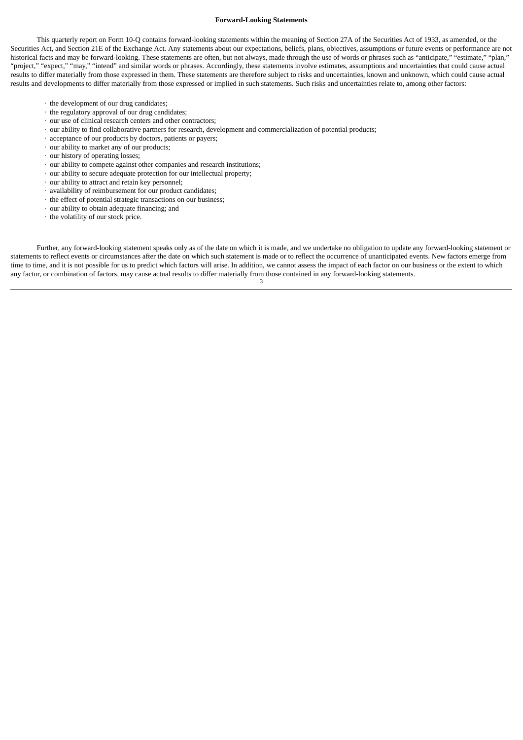#### **Forward-Looking Statements**

This quarterly report on Form 10-Q contains forward-looking statements within the meaning of Section 27A of the Securities Act of 1933, as amended, or the Securities Act, and Section 21E of the Exchange Act. Any statements about our expectations, beliefs, plans, objectives, assumptions or future events or performance are not historical facts and may be forward-looking. These statements are often, but not always, made through the use of words or phrases such as "anticipate," "estimate," "plan," "project," "expect," "may," "intend" and similar words or phrases. Accordingly, these statements involve estimates, assumptions and uncertainties that could cause actual results to differ materially from those expressed in them. These statements are therefore subject to risks and uncertainties, known and unknown, which could cause actual results and developments to differ materially from those expressed or implied in such statements. Such risks and uncertainties relate to, among other factors:

- · the development of our drug candidates;
- · the regulatory approval of our drug candidates;
- · our use of clinical research centers and other contractors;
- · our ability to find collaborative partners for research, development and commercialization of potential products;
- · acceptance of our products by doctors, patients or payers;
- · our ability to market any of our products;
- · our history of operating losses;
- · our ability to compete against other companies and research institutions;
- · our ability to secure adequate protection for our intellectual property;
- · our ability to attract and retain key personnel;
- · availability of reimbursement for our product candidates;
- · the effect of potential strategic transactions on our business;
- · our ability to obtain adequate financing; and
- · the volatility of our stock price.

Further, any forward-looking statement speaks only as of the date on which it is made, and we undertake no obligation to update any forward-looking statement or statements to reflect events or circumstances after the date on which such statement is made or to reflect the occurrence of unanticipated events. New factors emerge from time to time, and it is not possible for us to predict which factors will arise. In addition, we cannot assess the impact of each factor on our business or the extent to which any factor, or combination of factors, may cause actual results to differ materially from those contained in any forward-looking statements. 3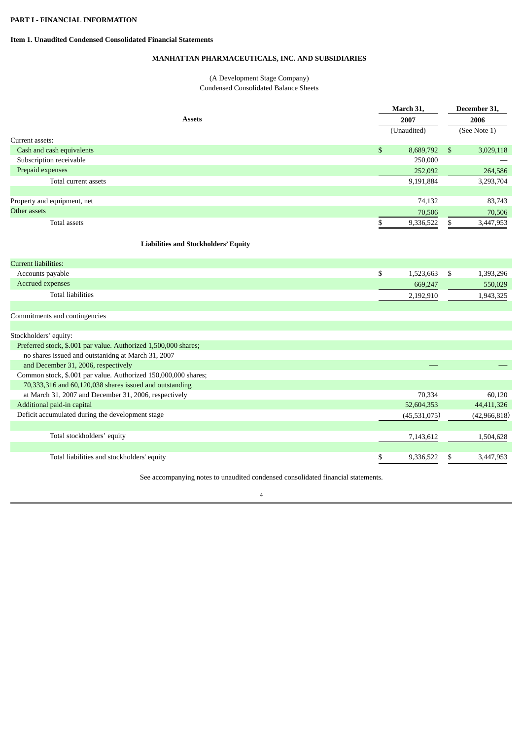## **Item 1. Unaudited Condensed Consolidated Financial Statements**

# **MANHATTAN PHARMACEUTICALS, INC. AND SUBSIDIARIES**

# (A Development Stage Company) Condensed Consolidated Balance Sheets

|                                                                 |              | March 31,    |                | December 31, |  |
|-----------------------------------------------------------------|--------------|--------------|----------------|--------------|--|
| <b>Assets</b>                                                   | 2007         |              |                | 2006         |  |
|                                                                 |              | (Unaudited)  |                | (See Note 1) |  |
| Current assets:                                                 |              |              |                |              |  |
| Cash and cash equivalents                                       | $\mathbb{S}$ | 8,689,792    | $\mathfrak{S}$ | 3,029,118    |  |
| Subscription receivable                                         |              | 250,000      |                |              |  |
| Prepaid expenses                                                |              | 252,092      |                | 264,586      |  |
| Total current assets                                            |              | 9,191,884    |                | 3,293,704    |  |
|                                                                 |              |              |                |              |  |
| Property and equipment, net                                     |              | 74,132       |                | 83,743       |  |
| Other assets                                                    |              | 70,506       |                | 70,506       |  |
| <b>Total assets</b>                                             | \$           | 9,336,522    | \$             | 3,447,953    |  |
|                                                                 |              |              |                |              |  |
| <b>Liabilities and Stockholders' Equity</b>                     |              |              |                |              |  |
|                                                                 |              |              |                |              |  |
| <b>Current liabilities:</b>                                     |              |              |                |              |  |
| Accounts payable                                                | \$           | 1,523,663    | \$             | 1,393,296    |  |
| Accrued expenses                                                |              | 669,247      |                | 550,029      |  |
| <b>Total liabilities</b>                                        |              | 2,192,910    |                | 1,943,325    |  |
|                                                                 |              |              |                |              |  |
| Commitments and contingencies                                   |              |              |                |              |  |
|                                                                 |              |              |                |              |  |
| Stockholders' equity:                                           |              |              |                |              |  |
| Preferred stock, \$.001 par value. Authorized 1,500,000 shares; |              |              |                |              |  |
| no shares issued and outstanidng at March 31, 2007              |              |              |                |              |  |
| and December 31, 2006, respectively                             |              |              |                |              |  |
| Common stock, \$.001 par value. Authorized 150,000,000 shares;  |              |              |                |              |  |
| 70,333,316 and 60,120,038 shares issued and outstanding         |              |              |                |              |  |
| at March 31, 2007 and December 31, 2006, respectively           |              | 70,334       |                | 60,120       |  |
| Additional paid-in capital                                      |              | 52,604,353   |                | 44,411,326   |  |
| Deficit accumulated during the development stage                |              | (45,531,075) |                | (42,966,818) |  |
|                                                                 |              |              |                |              |  |
| Total stockholders' equity                                      |              | 7,143,612    |                | 1,504,628    |  |
|                                                                 |              |              |                |              |  |
| Total liabilities and stockholders' equity                      | \$           | 9,336,522    | \$             | 3,447,953    |  |

See accompanying notes to unaudited condensed consolidated financial statements.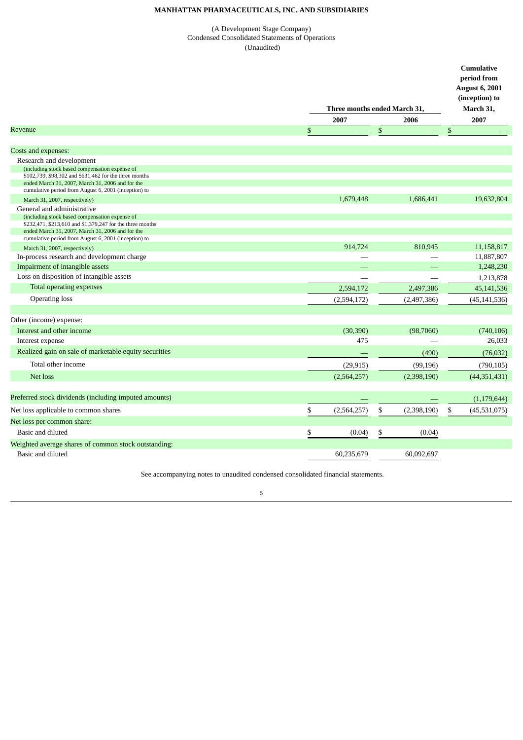# **MANHATTAN PHARMACEUTICALS, INC. AND SUBSIDIARIES**

## (A Development Stage Company) Condensed Consolidated Statements of Operations (Unaudited)

|                                                                                                             |                              |                   |              | <b>Cumulative</b><br>period from<br><b>August 6, 2001</b><br>(inception) to |
|-------------------------------------------------------------------------------------------------------------|------------------------------|-------------------|--------------|-----------------------------------------------------------------------------|
|                                                                                                             | Three months ended March 31, |                   | March 31,    |                                                                             |
|                                                                                                             | 2007                         | 2006              |              | 2007                                                                        |
| Revenue                                                                                                     | \$                           | \$                | $\mathbb{S}$ |                                                                             |
|                                                                                                             |                              |                   |              |                                                                             |
| Costs and expenses:                                                                                         |                              |                   |              |                                                                             |
| Research and development                                                                                    |                              |                   |              |                                                                             |
| (including stock based compensation expense of<br>\$102,739, \$98,302 and \$631,462 for the three months    |                              |                   |              |                                                                             |
| ended March 31, 2007, March 31, 2006 and for the                                                            |                              |                   |              |                                                                             |
| cumulative period from August 6, 2001 (inception) to                                                        |                              |                   |              |                                                                             |
| March 31, 2007, respectively)                                                                               | 1,679,448                    | 1,686,441         |              | 19,632,804                                                                  |
| General and administrative                                                                                  |                              |                   |              |                                                                             |
| (including stock based compensation expense of<br>\$232,471, \$213,610 and \$1,379,247 for the three months |                              |                   |              |                                                                             |
| ended March 31, 2007, March 31, 2006 and for the                                                            |                              |                   |              |                                                                             |
| cumulative period from August 6, 2001 (inception) to                                                        |                              |                   |              |                                                                             |
| March 31, 2007, respectively)                                                                               | 914,724                      | 810,945           |              | 11,158,817                                                                  |
| In-process research and development charge                                                                  |                              |                   |              | 11,887,807                                                                  |
| Impairment of intangible assets                                                                             |                              |                   |              | 1,248,230                                                                   |
| Loss on disposition of intangible assets                                                                    |                              |                   |              | 1,213,878                                                                   |
| Total operating expenses                                                                                    | 2,594,172                    | 2,497,386         |              | 45,141,536                                                                  |
| <b>Operating loss</b>                                                                                       | (2,594,172)                  | (2,497,386)       |              | (45, 141, 536)                                                              |
|                                                                                                             |                              |                   |              |                                                                             |
| Other (income) expense:                                                                                     |                              |                   |              |                                                                             |
| Interest and other income                                                                                   | (30, 390)                    | (98,7060)         |              | (740, 106)                                                                  |
| Interest expense                                                                                            | 475                          |                   |              | 26,033                                                                      |
| Realized gain on sale of marketable equity securities                                                       |                              | (490)             |              | (76, 032)                                                                   |
| Total other income                                                                                          | (29, 915)                    | (99, 196)         |              | (790, 105)                                                                  |
| Net loss                                                                                                    | (2,564,257)                  | (2,398,190)       |              | (44, 351, 431)                                                              |
|                                                                                                             |                              |                   |              |                                                                             |
| Preferred stock dividends (including imputed amounts)                                                       |                              |                   |              | (1, 179, 644)                                                               |
| Net loss applicable to common shares                                                                        | \$<br>(2,564,257)            | \$<br>(2,398,190) | \$           | (45,531,075)                                                                |
| Net loss per common share:                                                                                  |                              |                   |              |                                                                             |
| Basic and diluted                                                                                           | \$<br>(0.04)                 | \$<br>(0.04)      |              |                                                                             |
| Weighted average shares of common stock outstanding:                                                        |                              |                   |              |                                                                             |
| Basic and diluted                                                                                           | 60,235,679                   | 60.092.697        |              |                                                                             |

See accompanying notes to unaudited condensed consolidated financial statements.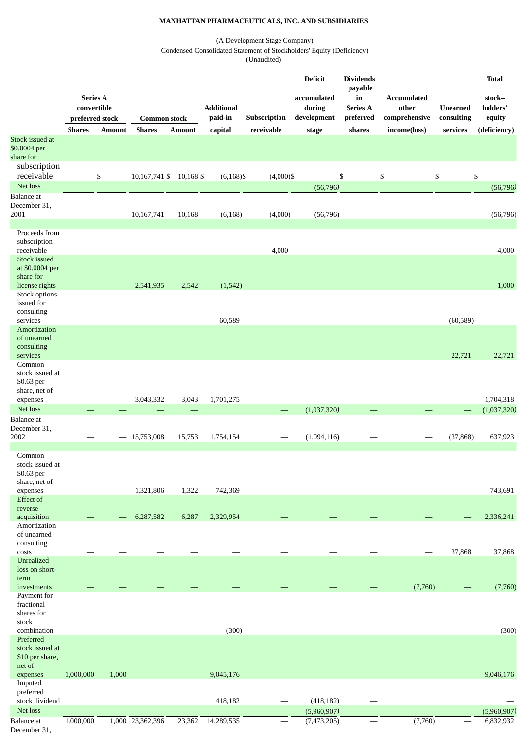# **MANHATTAN PHARMACEUTICALS, INC. AND SUBSIDIARIES**

## (A Development Stage Company) Condensed Consolidated Statement of Stockholders' Equity (Deficiency) (Unaudited)

|                                              |                                |               |                     |               |                   |              | <b>Deficit</b>        | <b>Dividends</b>                            |                             |                 | <b>Total</b>       |
|----------------------------------------------|--------------------------------|---------------|---------------------|---------------|-------------------|--------------|-----------------------|---------------------------------------------|-----------------------------|-----------------|--------------------|
|                                              | <b>Series A</b><br>convertible |               |                     |               | <b>Additional</b> |              | accumulated<br>during | payable<br>$\mathbf{in}$<br><b>Series A</b> | <b>Accumulated</b><br>other | <b>Unearned</b> | stock-<br>holders' |
|                                              | preferred stock                |               | <b>Common stock</b> |               | paid-in           | Subscription | development           | preferred                                   | comprehensive               | consulting      | equity             |
| Stock issued at                              | <b>Shares</b>                  | <b>Amount</b> | <b>Shares</b>       | <b>Amount</b> | capital           | receivable   | stage                 | shares                                      | income(loss)                | services        | (deficiency)       |
| \$0.0004 per<br>share for                    |                                |               |                     |               |                   |              |                       |                                             |                             |                 |                    |
| subscription<br>receivable<br>Net loss       | $-$ \$                         |               | $-10,167,741$ \$    | 10,168 \$     | $(6, 168)$ \$     | $(4,000)$ \$ | $-$ \$                | $-$ \$                                      | $-5$                        | $-$ \$          |                    |
| <b>Balance</b> at                            |                                |               |                     |               |                   |              | (56, 796)             |                                             |                             |                 | (56, 796)          |
| December 31,                                 |                                |               |                     |               |                   |              |                       |                                             |                             |                 |                    |
| 2001                                         |                                |               | $-10,167,741$       | 10,168        | (6, 168)          | (4,000)      | (56, 796)             |                                             |                             |                 | (56, 796)          |
| Proceeds from<br>subscription<br>receivable  |                                |               |                     |               |                   | 4,000        |                       |                                             |                             |                 | 4,000              |
| <b>Stock issued</b><br>at \$0.0004 per       |                                |               |                     |               |                   |              |                       |                                             |                             |                 |                    |
| share for<br>license rights<br>Stock options |                                |               | 2,541,935           | 2,542         | (1, 542)          |              |                       |                                             |                             |                 | 1,000              |
| issued for<br>consulting                     |                                |               |                     |               |                   |              |                       |                                             |                             |                 |                    |
| services<br>Amortization                     |                                |               |                     |               | 60,589            |              |                       |                                             |                             | (60, 589)       |                    |
| of unearned<br>consulting<br>services        |                                |               |                     |               |                   |              |                       |                                             |                             | 22,721          | 22,721             |
| Common                                       |                                |               |                     |               |                   |              |                       |                                             |                             |                 |                    |
| stock issued at<br>\$0.63 per                |                                |               |                     |               |                   |              |                       |                                             |                             |                 |                    |
| share, net of<br>expenses                    |                                |               | 3,043,332           | 3,043         | 1,701,275         |              |                       |                                             |                             |                 | 1,704,318          |
| Net loss                                     |                                |               |                     |               |                   |              | (1,037,320)           |                                             |                             |                 | (1,037,320)        |
| Balance at                                   |                                |               |                     |               |                   |              |                       |                                             |                             |                 |                    |
| December 31,<br>2002                         |                                |               | $-15,753,008$       | 15,753        | 1,754,154         |              | (1,094,116)           |                                             |                             | (37, 868)       | 637,923            |
| Common<br>stock issued at<br>\$0.63 per      |                                |               |                     |               |                   |              |                       |                                             |                             |                 |                    |
| share, net of<br>expenses                    |                                |               | 1,321,806           | 1,322         | 742,369           |              |                       |                                             |                             |                 | 743,691            |
| Effect of<br>reverse                         |                                |               |                     |               |                   |              |                       |                                             |                             |                 |                    |
| acquisition<br>Amortization<br>of unearned   |                                |               | 6,287,582           | 6,287         | 2,329,954         |              |                       |                                             |                             |                 | 2,336,241          |
| consulting<br>costs                          |                                |               |                     |               |                   |              |                       |                                             |                             | 37,868          | 37,868             |
| Unrealized<br>loss on short-                 |                                |               |                     |               |                   |              |                       |                                             |                             |                 |                    |
| term<br>investments<br>Payment for           |                                |               |                     |               |                   |              |                       |                                             | (7,760)                     |                 | (7,760)            |
| fractional<br>shares for                     |                                |               |                     |               |                   |              |                       |                                             |                             |                 |                    |
| stock<br>combination<br>Preferred            |                                |               |                     |               | (300)             |              |                       |                                             |                             |                 | (300)              |
| stock issued at<br>\$10 per share,<br>net of |                                |               |                     |               |                   |              |                       |                                             |                             |                 |                    |
| expenses<br>Imputed                          | 1,000,000                      | 1,000         |                     |               | 9,045,176         |              |                       |                                             |                             |                 | 9,046,176          |
| preferred<br>stock dividend                  |                                |               |                     |               | 418,182           |              | (418, 182)            |                                             |                             |                 |                    |
| Net loss                                     |                                |               |                     |               |                   |              | (5,960,907)           |                                             |                             |                 | (5,960,907)        |
| <b>Balance</b> at                            | 1,000,000                      |               | 1,000 23,362,396    | 23,362        | 14,289,535        |              | (7, 473, 205)         | $\overline{\phantom{0}}$                    | (7,760)                     |                 | 6,832,932          |

December 31,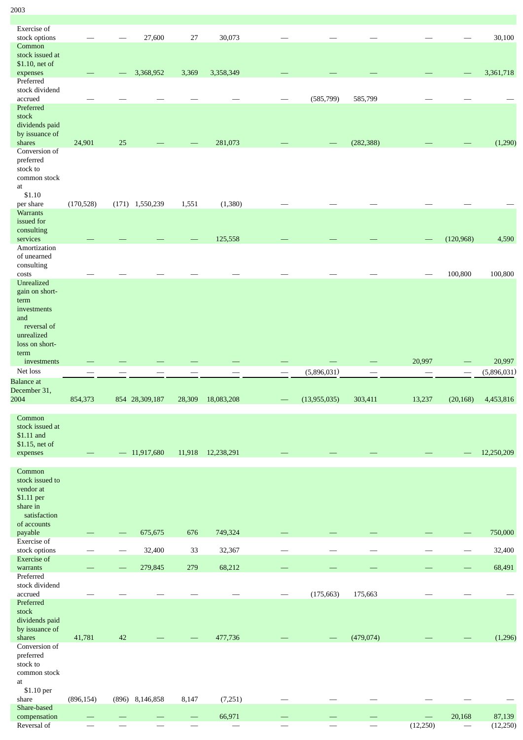| Exercise of                 |            |        |                   |          |            |                          |              |                                  |                                       |                          |                    |
|-----------------------------|------------|--------|-------------------|----------|------------|--------------------------|--------------|----------------------------------|---------------------------------------|--------------------------|--------------------|
| stock options               |            |        | 27,600            | 27       | 30,073     |                          |              |                                  |                                       |                          | 30,100             |
| Common                      |            |        |                   |          |            |                          |              |                                  |                                       |                          |                    |
| stock issued at             |            |        |                   |          |            |                          |              |                                  |                                       |                          |                    |
| \$1.10, net of              |            |        |                   |          |            |                          |              |                                  |                                       |                          |                    |
| expenses                    |            |        | 3,368,952         | 3,369    | 3,358,349  |                          |              |                                  |                                       |                          | 3,361,718          |
| Preferred                   |            |        |                   |          |            |                          |              |                                  |                                       |                          |                    |
| stock dividend              |            |        |                   |          |            |                          |              |                                  |                                       |                          |                    |
| accrued                     |            |        |                   |          |            |                          | (585, 799)   | 585,799                          |                                       |                          |                    |
| Preferred                   |            |        |                   |          |            |                          |              |                                  |                                       |                          |                    |
|                             |            |        |                   |          |            |                          |              |                                  |                                       |                          |                    |
| stock                       |            |        |                   |          |            |                          |              |                                  |                                       |                          |                    |
| dividends paid              |            |        |                   |          |            |                          |              |                                  |                                       |                          |                    |
| by issuance of              |            |        |                   |          |            |                          |              |                                  |                                       |                          |                    |
| shares                      | 24,901     | 25     |                   |          | 281,073    |                          |              | (282, 388)                       |                                       |                          | (1,290)            |
| Conversion of               |            |        |                   |          |            |                          |              |                                  |                                       |                          |                    |
| preferred                   |            |        |                   |          |            |                          |              |                                  |                                       |                          |                    |
| stock to                    |            |        |                   |          |            |                          |              |                                  |                                       |                          |                    |
| common stock                |            |        |                   |          |            |                          |              |                                  |                                       |                          |                    |
|                             |            |        |                   |          |            |                          |              |                                  |                                       |                          |                    |
| at                          |            |        |                   |          |            |                          |              |                                  |                                       |                          |                    |
| \$1.10                      |            |        |                   |          |            |                          |              |                                  |                                       |                          |                    |
| per share                   | (170, 528) |        | $(171)$ 1,550,239 | 1,551    | (1,380)    |                          |              |                                  |                                       |                          |                    |
| <b>Warrants</b>             |            |        |                   |          |            |                          |              |                                  |                                       |                          |                    |
| issued for                  |            |        |                   |          |            |                          |              |                                  |                                       |                          |                    |
| consulting                  |            |        |                   |          |            |                          |              |                                  |                                       |                          |                    |
| services                    |            |        |                   |          | 125,558    |                          |              |                                  |                                       | (120, 968)               | 4,590              |
| Amortization                |            |        |                   |          |            |                          |              |                                  |                                       |                          |                    |
|                             |            |        |                   |          |            |                          |              |                                  |                                       |                          |                    |
| of unearned                 |            |        |                   |          |            |                          |              |                                  |                                       |                          |                    |
| consulting                  |            |        |                   |          |            |                          |              |                                  |                                       |                          |                    |
| costs                       |            |        |                   |          |            |                          |              |                                  |                                       | 100,800                  | 100,800            |
| Unrealized                  |            |        |                   |          |            |                          |              |                                  |                                       |                          |                    |
| gain on short-              |            |        |                   |          |            |                          |              |                                  |                                       |                          |                    |
| term                        |            |        |                   |          |            |                          |              |                                  |                                       |                          |                    |
|                             |            |        |                   |          |            |                          |              |                                  |                                       |                          |                    |
| investments                 |            |        |                   |          |            |                          |              |                                  |                                       |                          |                    |
| and                         |            |        |                   |          |            |                          |              |                                  |                                       |                          |                    |
| reversal of                 |            |        |                   |          |            |                          |              |                                  |                                       |                          |                    |
| unrealized                  |            |        |                   |          |            |                          |              |                                  |                                       |                          |                    |
| loss on short-              |            |        |                   |          |            |                          |              |                                  |                                       |                          |                    |
| term                        |            |        |                   |          |            |                          |              |                                  |                                       |                          |                    |
|                             |            |        |                   |          |            |                          |              |                                  | 20,997                                |                          | 20,997             |
| investments                 |            |        |                   |          |            |                          |              |                                  |                                       |                          |                    |
| Net loss                    |            |        |                   |          |            | $\overline{\phantom{0}}$ | (5,896,031)  |                                  |                                       |                          | (5,896,031)        |
|                             |            |        |                   |          |            |                          |              |                                  |                                       |                          |                    |
|                             |            |        |                   |          |            |                          |              |                                  |                                       |                          |                    |
| <b>Balance</b> at           |            |        |                   |          |            |                          |              |                                  |                                       |                          |                    |
| December 31,                |            |        |                   |          |            |                          |              |                                  |                                       |                          |                    |
| 2004                        | 854,373    |        | 854 28,309,187    | 28,309   | 18,083,208 |                          | (13,955,035) | 303,411                          | 13,237                                | (20, 168)                | 4,453,816          |
|                             |            |        |                   |          |            |                          |              |                                  |                                       |                          |                    |
| Common                      |            |        |                   |          |            |                          |              |                                  |                                       |                          |                    |
| stock issued at             |            |        |                   |          |            |                          |              |                                  |                                       |                          |                    |
|                             |            |        |                   |          |            |                          |              |                                  |                                       |                          |                    |
| \$1.11 and                  |            |        |                   |          |            |                          |              |                                  |                                       |                          |                    |
| \$1.15, net of              |            |        |                   |          |            |                          |              |                                  |                                       |                          |                    |
| expenses                    |            |        | $-11,917,680$     | 11,918   | 12,238,291 |                          |              |                                  |                                       |                          | 12,250,209         |
|                             |            |        |                   |          |            |                          |              |                                  |                                       |                          |                    |
| Common                      |            |        |                   |          |            |                          |              |                                  |                                       |                          |                    |
| stock issued to             |            |        |                   |          |            |                          |              |                                  |                                       |                          |                    |
|                             |            |        |                   |          |            |                          |              |                                  |                                       |                          |                    |
| vendor at                   |            |        |                   |          |            |                          |              |                                  |                                       |                          |                    |
| \$1.11 per                  |            |        |                   |          |            |                          |              |                                  |                                       |                          |                    |
| share in                    |            |        |                   |          |            |                          |              |                                  |                                       |                          |                    |
| satisfaction                |            |        |                   |          |            |                          |              |                                  |                                       |                          |                    |
| of accounts                 |            |        |                   |          |            |                          |              |                                  |                                       |                          |                    |
| payable                     |            |        | 675,675           | 676      | 749,324    |                          |              |                                  |                                       |                          | 750,000            |
| Exercise of                 |            |        |                   |          |            |                          |              |                                  |                                       |                          |                    |
| stock options               |            |        |                   | 33       |            |                          |              |                                  |                                       | $\overline{\phantom{m}}$ |                    |
|                             |            |        | 32,400            |          | 32,367     |                          |              |                                  |                                       |                          | 32,400             |
| <b>Exercise</b> of          |            |        |                   |          |            |                          |              |                                  |                                       |                          |                    |
| warrants                    |            |        | 279,845           | 279      | 68,212     |                          |              |                                  |                                       |                          | 68,491             |
| Preferred                   |            |        |                   |          |            |                          |              |                                  |                                       |                          |                    |
| stock dividend              |            |        |                   |          |            |                          |              |                                  |                                       |                          |                    |
| accrued                     |            |        |                   |          |            |                          | (175, 663)   | 175,663                          |                                       |                          |                    |
| Preferred                   |            |        |                   |          |            |                          |              |                                  |                                       |                          |                    |
|                             |            |        |                   |          |            |                          |              |                                  |                                       |                          |                    |
| stock                       |            |        |                   |          |            |                          |              |                                  |                                       |                          |                    |
| dividends paid              |            |        |                   |          |            |                          |              |                                  |                                       |                          |                    |
| by issuance of              |            |        |                   |          |            |                          |              |                                  |                                       |                          |                    |
| shares                      | 41,781     | $42\,$ |                   |          | 477,736    |                          |              | (479, 074)                       |                                       |                          | (1,296)            |
| Conversion of               |            |        |                   |          |            |                          |              |                                  |                                       |                          |                    |
| preferred                   |            |        |                   |          |            |                          |              |                                  |                                       |                          |                    |
| stock to                    |            |        |                   |          |            |                          |              |                                  |                                       |                          |                    |
|                             |            |        |                   |          |            |                          |              |                                  |                                       |                          |                    |
| common stock                |            |        |                   |          |            |                          |              |                                  |                                       |                          |                    |
| at                          |            |        |                   |          |            |                          |              |                                  |                                       |                          |                    |
| \$1.10 per                  |            |        |                   |          |            |                          |              |                                  |                                       |                          |                    |
| share                       | (896, 154) |        | (896) 8,146,858   | 8,147    | (7,251)    |                          |              |                                  |                                       |                          |                    |
| Share-based                 |            |        |                   |          |            |                          |              |                                  |                                       |                          |                    |
| compensation<br>Reversal of |            |        |                   | $\equiv$ | 66,971     |                          |              | $\overbrace{\qquad \qquad }^{ }$ | $\overline{\phantom{0}}$<br>(12, 250) | 20,168                   | 87,139<br>(12,250) |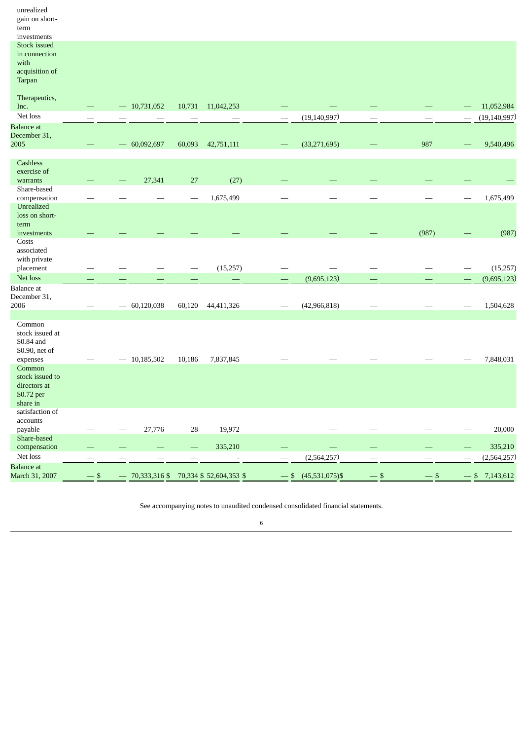| unrealized<br>gain on short-<br>term<br>investments                             |                           |               |        |                         |                       |                           |       |                |
|---------------------------------------------------------------------------------|---------------------------|---------------|--------|-------------------------|-----------------------|---------------------------|-------|----------------|
| Stock issued<br>in connection<br>with<br>acquisition of<br>Tarpan               |                           |               |        |                         |                       |                           |       |                |
| Therapeutics,<br>Inc.                                                           |                           | $-10,731,052$ | 10,731 | 11,042,253              |                       |                           |       | 11,052,984     |
| Net loss                                                                        |                           |               |        |                         | (19, 140, 997)        |                           |       | (19, 140, 997) |
| <b>Balance</b> at<br>December 31,<br>2005                                       |                           | 60,092,697    | 60,093 | 42,751,111              | (33, 271, 695)        |                           | 987   | 9,540,496      |
| Cashless<br>exercise of                                                         |                           |               |        |                         |                       |                           |       |                |
| warrants                                                                        |                           | 27,341        | $27\,$ | (27)                    |                       |                           |       |                |
| Share-based<br>compensation<br>Unrealized                                       |                           |               |        | 1,675,499               |                       |                           |       | 1,675,499      |
| loss on short-<br>term                                                          |                           |               |        |                         |                       |                           |       |                |
| investments<br>Costs<br>associated                                              |                           |               |        |                         |                       |                           | (987) | (987)          |
| with private<br>placement                                                       |                           |               |        | (15, 257)               |                       |                           |       | (15, 257)      |
| Net loss                                                                        |                           |               |        |                         | (9,695,123)           |                           |       |                |
| <b>Balance</b> at                                                               |                           |               |        |                         |                       |                           |       | (9,695,123)    |
| December 31,<br>2006                                                            |                           | 60,120,038    | 60,120 | 44,411,326              | (42,966,818)          |                           |       | 1,504,628      |
| Common<br>stock issued at<br>\$0.84 and<br>\$0.90, net of                       |                           |               |        |                         |                       |                           |       |                |
| expenses<br>Common<br>stock issued to<br>directors at<br>\$0.72 per<br>share in |                           | $-10,185,502$ | 10,186 | 7,837,845               |                       |                           |       | 7,848,031      |
| satisfaction of<br>accounts<br>payable<br>Share-based                           |                           | 27,776        | 28     | 19,972                  |                       |                           |       | 20,000         |
| compensation                                                                    |                           |               |        | 335,210                 |                       |                           |       | 335,210        |
| Net loss                                                                        |                           |               |        |                         | (2,564,257)           |                           |       | (2,564,257)    |
| <b>Balance</b> at                                                               |                           |               |        |                         |                       |                           |       |                |
| March 31, 2007                                                                  | $\boldsymbol{\mathsf{S}}$ | 70,333,316 \$ |        | 70,334 \$ 52,604,353 \$ | $-$ \$ (45,531,075)\$ | $\boldsymbol{\mathsf{S}}$ | \$    | \$7,143,612    |

See accompanying notes to unaudited condensed consolidated financial statements.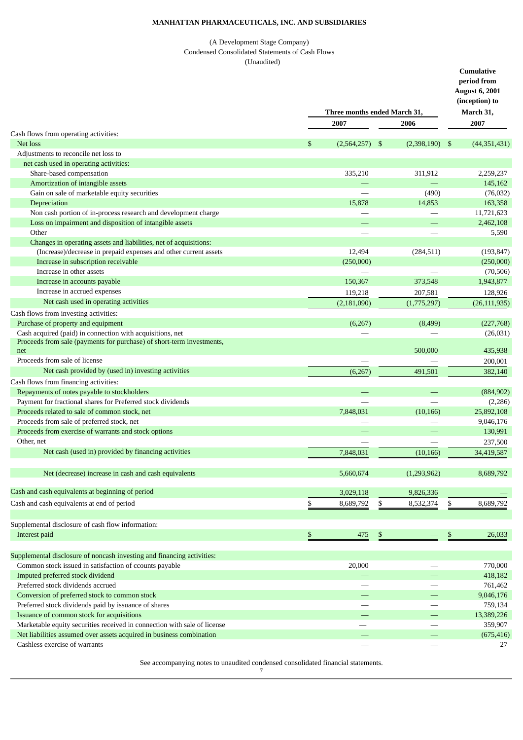# **MANHATTAN PHARMACEUTICALS, INC. AND SUBSIDIARIES**

## (A Development Stage Company) Condensed Consolidated Statements of Cash Flows (Unaudited)

|                                                                          |                              |                   | <b>Cumulative</b><br>period from<br><b>August 6, 2001</b><br>(inception) to |
|--------------------------------------------------------------------------|------------------------------|-------------------|-----------------------------------------------------------------------------|
|                                                                          | Three months ended March 31, |                   | March 31,                                                                   |
|                                                                          | 2007                         | 2006              | 2007                                                                        |
| Cash flows from operating activities:<br>Net loss                        | \$<br>(2,564,257)            | \$<br>(2,398,190) | \$<br>(44,351,431)                                                          |
| Adjustments to reconcile net loss to                                     |                              |                   |                                                                             |
| net cash used in operating activities:                                   |                              |                   |                                                                             |
| Share-based compensation                                                 | 335,210                      | 311,912           | 2,259,237                                                                   |
| Amortization of intangible assets                                        |                              |                   | 145,162                                                                     |
| Gain on sale of marketable equity securities                             |                              | (490)             | (76, 032)                                                                   |
| Depreciation                                                             | 15,878                       | 14,853            | 163,358                                                                     |
| Non cash portion of in-process research and development charge           |                              |                   | 11,721,623                                                                  |
| Loss on impairment and disposition of intangible assets                  |                              |                   | 2,462,108                                                                   |
| Other                                                                    |                              |                   | 5,590                                                                       |
| Changes in operating assets and liabilities, net of acquisitions:        |                              |                   |                                                                             |
| (Increase)/decrease in prepaid expenses and other current assets         | 12,494                       | (284, 511)        | (193, 847)                                                                  |
| Increase in subscription receivable                                      | (250,000)                    |                   | (250,000)                                                                   |
| Increase in other assets                                                 |                              |                   | (70, 506)                                                                   |
| Increase in accounts payable                                             | 150,367                      | 373,548           | 1,943,877                                                                   |
| Increase in accrued expenses                                             | 119,218                      | 207,581           | 128,926                                                                     |
| Net cash used in operating activities                                    | (2, 181, 090)                | (1,775,297)       | (26, 111, 935)                                                              |
| Cash flows from investing activities:                                    |                              |                   |                                                                             |
| Purchase of property and equipment                                       | (6,267)                      | (8,499)           | (227,768)                                                                   |
| Cash acquired (paid) in connection with acquisitions, net                |                              |                   | (26,031)                                                                    |
| Proceeds from sale (payments for purchase) of short-term investments,    |                              |                   |                                                                             |
| net                                                                      |                              | 500,000           | 435,938                                                                     |
| Proceeds from sale of license                                            |                              |                   | 200,001                                                                     |
| Net cash provided by (used in) investing activities                      | (6, 267)                     | 491,501           | 382,140                                                                     |
| Cash flows from financing activities:                                    |                              |                   |                                                                             |
| Repayments of notes payable to stockholders                              |                              |                   | (884,902)                                                                   |
| Payment for fractional shares for Preferred stock dividends              |                              |                   | (2, 286)                                                                    |
| Proceeds related to sale of common stock, net                            | 7,848,031                    | (10, 166)         | 25,892,108                                                                  |
| Proceeds from sale of preferred stock, net                               |                              |                   | 9,046,176                                                                   |
| Proceeds from exercise of warrants and stock options                     |                              |                   | 130,991                                                                     |
| Other, net                                                               |                              |                   | 237,500                                                                     |
| Net cash (used in) provided by financing activities                      | 7,848,031                    | (10, 166)         | 34,419,587                                                                  |
|                                                                          |                              |                   |                                                                             |
| Net (decrease) increase in cash and cash equivalents                     | 5,660,674                    | (1,293,962)       | 8,689,792                                                                   |
|                                                                          |                              |                   |                                                                             |
| Cash and cash equivalents at beginning of period                         | 3,029,118                    | 9,826,336         |                                                                             |
| Cash and cash equivalents at end of period                               | \$<br>8,689,792              | \$<br>8,532,374   | \$<br>8,689,792                                                             |
|                                                                          |                              |                   |                                                                             |
|                                                                          |                              |                   |                                                                             |
| Supplemental disclosure of cash flow information:                        |                              |                   |                                                                             |
| Interest paid                                                            | \$<br>475                    | \$                | \$<br>26,033                                                                |
|                                                                          |                              |                   |                                                                             |
| Supplemental disclosure of noncash investing and financing activities:   |                              |                   |                                                                             |
| Common stock issued in satisfaction of ccounts payable                   | 20,000                       |                   | 770,000                                                                     |
| Imputed preferred stock dividend                                         |                              |                   | 418,182                                                                     |
| Preferred stock dividends accrued                                        |                              |                   | 761,462                                                                     |
| Conversion of preferred stock to common stock                            |                              |                   | 9,046,176                                                                   |
| Preferred stock dividends paid by issuance of shares                     | $\sim$                       |                   | 759,134                                                                     |
| Issuance of common stock for acquisitions                                |                              |                   | 13,389,226                                                                  |
| Marketable equity securities received in connection with sale of license |                              |                   | 359,907                                                                     |
| Net liabilities assumed over assets acquired in business combination     |                              |                   | (675, 416)                                                                  |
| Cashless exercise of warrants                                            |                              |                   | 27                                                                          |

See accompanying notes to unaudited condensed consolidated financial statements.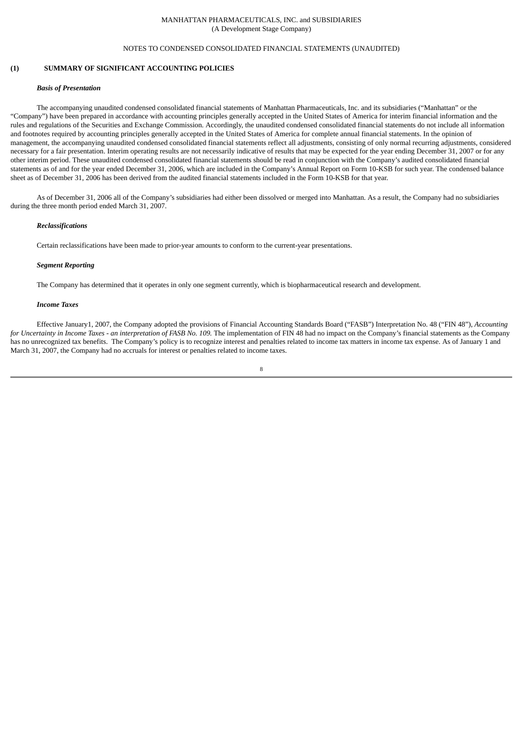## NOTES TO CONDENSED CONSOLIDATED FINANCIAL STATEMENTS (UNAUDITED)

## **(1) SUMMARY OF SIGNIFICANT ACCOUNTING POLICIES**

#### *Basis of Presentation*

The accompanying unaudited condensed consolidated financial statements of Manhattan Pharmaceuticals, Inc. and its subsidiaries ("Manhattan" or the "Company") have been prepared in accordance with accounting principles generally accepted in the United States of America for interim financial information and the rules and regulations of the Securities and Exchange Commission. Accordingly, the unaudited condensed consolidated financial statements do not include all information and footnotes required by accounting principles generally accepted in the United States of America for complete annual financial statements. In the opinion of management, the accompanying unaudited condensed consolidated financial statements reflect all adjustments, consisting of only normal recurring adjustments, considered necessary for a fair presentation. Interim operating results are not necessarily indicative of results that may be expected for the year ending December 31, 2007 or for any other interim period. These unaudited condensed consolidated financial statements should be read in conjunction with the Company's audited consolidated financial statements as of and for the year ended December 31, 2006, which are included in the Company's Annual Report on Form 10-KSB for such year. The condensed balance sheet as of December 31, 2006 has been derived from the audited financial statements included in the Form 10-KSB for that year.

As of December 31, 2006 all of the Company's subsidiaries had either been dissolved or merged into Manhattan. As a result, the Company had no subsidiaries during the three month period ended March 31, 2007.

## *Reclassifications*

Certain reclassifications have been made to prior-year amounts to conform to the current-year presentations.

### *Segment Reporting*

The Company has determined that it operates in only one segment currently, which is biopharmaceutical research and development.

#### *Income Taxes*

Effective January1, 2007, the Company adopted the provisions of Financial Accounting Standards Board ("FASB") Interpretation No. 48 ("FIN 48"), *Accounting* for Uncertainty in Income Taxes - an interpretation of FASB No. 109. The implementation of FIN 48 had no impact on the Company's financial statements as the Company has no unrecognized tax benefits. The Company's policy is to recognize interest and penalties related to income tax matters in income tax expense. As of January 1 and March 31, 2007, the Company had no accruals for interest or penalties related to income taxes.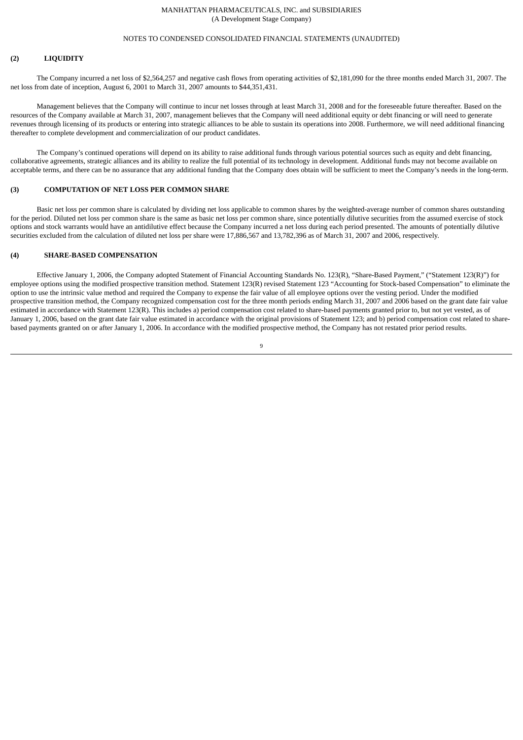#### NOTES TO CONDENSED CONSOLIDATED FINANCIAL STATEMENTS (UNAUDITED)

## **(2) LIQUIDITY**

The Company incurred a net loss of \$2,564,257 and negative cash flows from operating activities of \$2,181,090 for the three months ended March 31, 2007. The net loss from date of inception, August 6, 2001 to March 31, 2007 amounts to \$44,351,431.

Management believes that the Company will continue to incur net losses through at least March 31, 2008 and for the foreseeable future thereafter. Based on the resources of the Company available at March 31, 2007, management believes that the Company will need additional equity or debt financing or will need to generate revenues through licensing of its products or entering into strategic alliances to be able to sustain its operations into 2008. Furthermore, we will need additional financing thereafter to complete development and commercialization of our product candidates.

The Company's continued operations will depend on its ability to raise additional funds through various potential sources such as equity and debt financing, collaborative agreements, strategic alliances and its ability to realize the full potential of its technology in development. Additional funds may not become available on acceptable terms, and there can be no assurance that any additional funding that the Company does obtain will be sufficient to meet the Company's needs in the long-term.

#### **(3) COMPUTATION OF NET LOSS PER COMMON SHARE**

Basic net loss per common share is calculated by dividing net loss applicable to common shares by the weighted-average number of common shares outstanding for the period. Diluted net loss per common share is the same as basic net loss per common share, since potentially dilutive securities from the assumed exercise of stock options and stock warrants would have an antidilutive effect because the Company incurred a net loss during each period presented. The amounts of potentially dilutive securities excluded from the calculation of diluted net loss per share were 17,886,567 and 13,782,396 as of March 31, 2007 and 2006, respectively.

## **(4) SHARE-BASED COMPENSATION**

Effective January 1, 2006, the Company adopted Statement of Financial Accounting Standards No. 123(R), "Share-Based Payment," ("Statement 123(R)") for employee options using the modified prospective transition method. Statement 123(R) revised Statement 123 "Accounting for Stock-based Compensation" to eliminate the option to use the intrinsic value method and required the Company to expense the fair value of all employee options over the vesting period. Under the modified prospective transition method, the Company recognized compensation cost for the three month periods ending March 31, 2007 and 2006 based on the grant date fair value estimated in accordance with Statement 123(R). This includes a) period compensation cost related to share-based payments granted prior to, but not yet vested, as of January 1, 2006, based on the grant date fair value estimated in accordance with the original provisions of Statement 123; and b) period compensation cost related to sharebased payments granted on or after January 1, 2006. In accordance with the modified prospective method, the Company has not restated prior period results.

 $\alpha$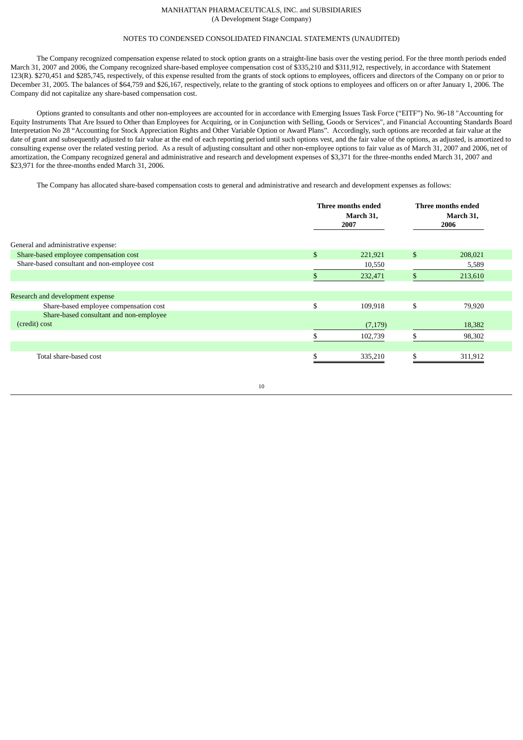## NOTES TO CONDENSED CONSOLIDATED FINANCIAL STATEMENTS (UNAUDITED)

The Company recognized compensation expense related to stock option grants on a straight-line basis over the vesting period. For the three month periods ended March 31, 2007 and 2006, the Company recognized share-based employee compensation cost of \$335,210 and \$311,912, respectively, in accordance with Statement 123(R). \$270,451 and \$285,745, respectively, of this expense resulted from the grants of stock options to employees, officers and directors of the Company on or prior to December 31, 2005. The balances of \$64,759 and \$26,167, respectively, relate to the granting of stock options to employees and officers on or after January 1, 2006. The Company did not capitalize any share-based compensation cost.

Options granted to consultants and other non-employees are accounted for in accordance with Emerging Issues Task Force ("EITF") No. 96-18 "Accounting for Equity Instruments That Are Issued to Other than Employees for Acquiring, or in Conjunction with Selling, Goods or Services", and Financial Accounting Standards Board Interpretation No 28 "Accounting for Stock Appreciation Rights and Other Variable Option or Award Plans". Accordingly, such options are recorded at fair value at the date of grant and subsequently adjusted to fair value at the end of each reporting period until such options vest, and the fair value of the options, as adjusted, is amortized to consulting expense over the related vesting period. As a result of adjusting consultant and other non-employee options to fair value as of March 31, 2007 and 2006, net of amortization, the Company recognized general and administrative and research and development expenses of \$3,371 for the three-months ended March 31, 2007 and \$23,971 for the three-months ended March 31, 2006.

The Company has allocated share-based compensation costs to general and administrative and research and development expenses as follows:

|                                              |              | Three months ended<br>March 31,<br>2007 |              | Three months ended<br>March 31,<br>2006 |
|----------------------------------------------|--------------|-----------------------------------------|--------------|-----------------------------------------|
| General and administrative expense:          |              |                                         |              |                                         |
| Share-based employee compensation cost       | $\mathbb{S}$ | 221,921                                 | $\mathbb{S}$ | 208,021                                 |
| Share-based consultant and non-employee cost |              | 10,550                                  |              | 5,589                                   |
|                                              |              | 232,471                                 |              | 213,610                                 |
|                                              |              |                                         |              |                                         |
| Research and development expense             |              |                                         |              |                                         |
| Share-based employee compensation cost       | \$           | 109,918                                 | \$           | 79,920                                  |
| Share-based consultant and non-employee      |              |                                         |              |                                         |
| (credit) cost                                |              | (7,179)                                 |              | 18,382                                  |
|                                              |              | 102,739                                 |              | 98,302                                  |
|                                              |              |                                         |              |                                         |
| Total share-based cost                       |              | 335,210                                 |              | 311,912                                 |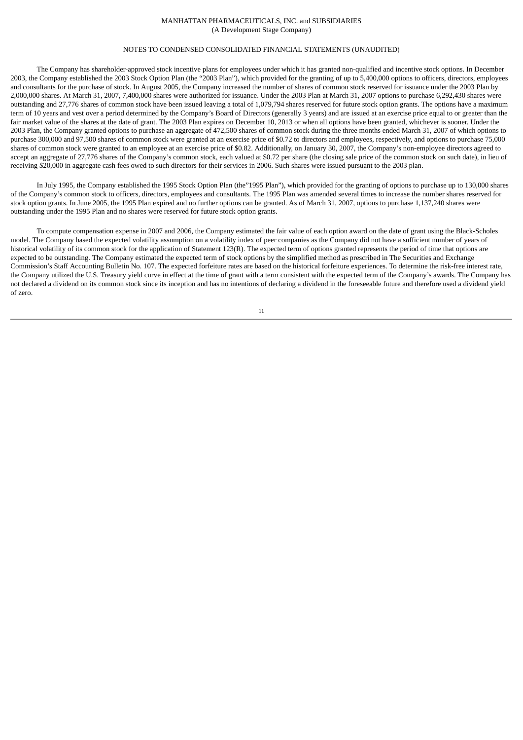## NOTES TO CONDENSED CONSOLIDATED FINANCIAL STATEMENTS (UNAUDITED)

The Company has shareholder-approved stock incentive plans for employees under which it has granted non-qualified and incentive stock options. In December 2003, the Company established the 2003 Stock Option Plan (the "2003 Plan"), which provided for the granting of up to 5,400,000 options to officers, directors, employees and consultants for the purchase of stock. In August 2005, the Company increased the number of shares of common stock reserved for issuance under the 2003 Plan by 2,000,000 shares. At March 31, 2007, 7,400,000 shares were authorized for issuance. Under the 2003 Plan at March 31, 2007 options to purchase 6,292,430 shares were outstanding and 27,776 shares of common stock have been issued leaving a total of 1,079,794 shares reserved for future stock option grants. The options have a maximum term of 10 years and vest over a period determined by the Company's Board of Directors (generally 3 years) and are issued at an exercise price equal to or greater than the fair market value of the shares at the date of grant. The 2003 Plan expires on December 10, 2013 or when all options have been granted, whichever is sooner. Under the 2003 Plan, the Company granted options to purchase an aggregate of 472,500 shares of common stock during the three months ended March 31, 2007 of which options to purchase 300,000 and 97,500 shares of common stock were granted at an exercise price of \$0.72 to directors and employees, respectively, and options to purchase 75,000 shares of common stock were granted to an employee at an exercise price of \$0.82. Additionally, on January 30, 2007, the Company's non-employee directors agreed to accept an aggregate of 27,776 shares of the Company's common stock, each valued at \$0.72 per share (the closing sale price of the common stock on such date), in lieu of receiving \$20,000 in aggregate cash fees owed to such directors for their services in 2006. Such shares were issued pursuant to the 2003 plan.

In July 1995, the Company established the 1995 Stock Option Plan (the"1995 Plan"), which provided for the granting of options to purchase up to 130,000 shares of the Company's common stock to officers, directors, employees and consultants. The 1995 Plan was amended several times to increase the number shares reserved for stock option grants. In June 2005, the 1995 Plan expired and no further options can be granted. As of March 31, 2007, options to purchase 1,137,240 shares were outstanding under the 1995 Plan and no shares were reserved for future stock option grants.

To compute compensation expense in 2007 and 2006, the Company estimated the fair value of each option award on the date of grant using the Black-Scholes model. The Company based the expected volatility assumption on a volatility index of peer companies as the Company did not have a sufficient number of years of historical volatility of its common stock for the application of Statement 123(R). The expected term of options granted represents the period of time that options are expected to be outstanding. The Company estimated the expected term of stock options by the simplified method as prescribed in The Securities and Exchange Commission's Staff Accounting Bulletin No. 107. The expected forfeiture rates are based on the historical forfeiture experiences. To determine the risk-free interest rate, the Company utilized the U.S. Treasury yield curve in effect at the time of grant with a term consistent with the expected term of the Company's awards. The Company has not declared a dividend on its common stock since its inception and has no intentions of declaring a dividend in the foreseeable future and therefore used a dividend yield of zero.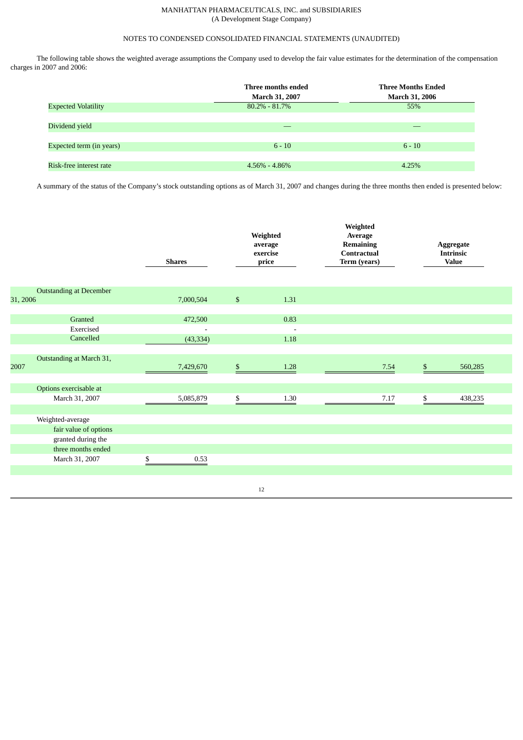# NOTES TO CONDENSED CONSOLIDATED FINANCIAL STATEMENTS (UNAUDITED)

The following table shows the weighted average assumptions the Company used to develop the fair value estimates for the determination of the compensation charges in 2007 and 2006:

|                            | Three months ended    | <b>Three Months Ended</b> |
|----------------------------|-----------------------|---------------------------|
|                            | <b>March 31, 2007</b> | <b>March 31, 2006</b>     |
| <b>Expected Volatility</b> | $80.2\% - 81.7\%$     | 55%                       |
|                            |                       |                           |
| Dividend yield             |                       |                           |
|                            |                       |                           |
| Expected term (in years)   | $6 - 10$              | $6 - 10$                  |
|                            |                       |                           |
| Risk-free interest rate    | $4.56\% - 4.86\%$     | 4.25%                     |

A summary of the status of the Company's stock outstanding options as of March 31, 2007 and changes during the three months then ended is presented below:

|          |                                | <b>Shares</b>  |                | Weighted<br>average<br>exercise<br>price | Weighted<br>Average<br><b>Remaining</b><br><b>Contractual</b><br>Term (years) |              | Aggregate<br><b>Intrinsic</b><br><b>Value</b> |  |
|----------|--------------------------------|----------------|----------------|------------------------------------------|-------------------------------------------------------------------------------|--------------|-----------------------------------------------|--|
|          | <b>Outstanding at December</b> |                |                |                                          |                                                                               |              |                                               |  |
| 31, 2006 |                                | 7,000,504      | $\mathfrak{S}$ | 1.31                                     |                                                                               |              |                                               |  |
|          |                                |                |                |                                          |                                                                               |              |                                               |  |
|          | Granted                        | 472,500        |                | 0.83                                     |                                                                               |              |                                               |  |
|          | Exercised                      | $\blacksquare$ |                | $\sim$                                   |                                                                               |              |                                               |  |
|          | Cancelled                      | (43, 334)      |                | 1.18                                     |                                                                               |              |                                               |  |
|          |                                |                |                |                                          |                                                                               |              |                                               |  |
|          | Outstanding at March 31,       |                |                |                                          |                                                                               |              |                                               |  |
| 2007     |                                | 7,429,670      | $\mathfrak{S}$ | 1.28                                     | 7.54                                                                          | $\mathbb{S}$ | 560,285                                       |  |
|          |                                |                |                |                                          |                                                                               |              |                                               |  |
|          | Options exercisable at         |                |                |                                          |                                                                               |              |                                               |  |
|          | March 31, 2007                 | 5,085,879      | \$             | 1.30                                     | 7.17                                                                          | \$           | 438,235                                       |  |
|          |                                |                |                |                                          |                                                                               |              |                                               |  |
|          | Weighted-average               |                |                |                                          |                                                                               |              |                                               |  |
|          | fair value of options          |                |                |                                          |                                                                               |              |                                               |  |
|          | granted during the             |                |                |                                          |                                                                               |              |                                               |  |
|          | three months ended             |                |                |                                          |                                                                               |              |                                               |  |
|          | March 31, 2007                 | 0.53<br>\$     |                |                                          |                                                                               |              |                                               |  |
|          |                                |                |                |                                          |                                                                               |              |                                               |  |
|          |                                |                |                |                                          |                                                                               |              |                                               |  |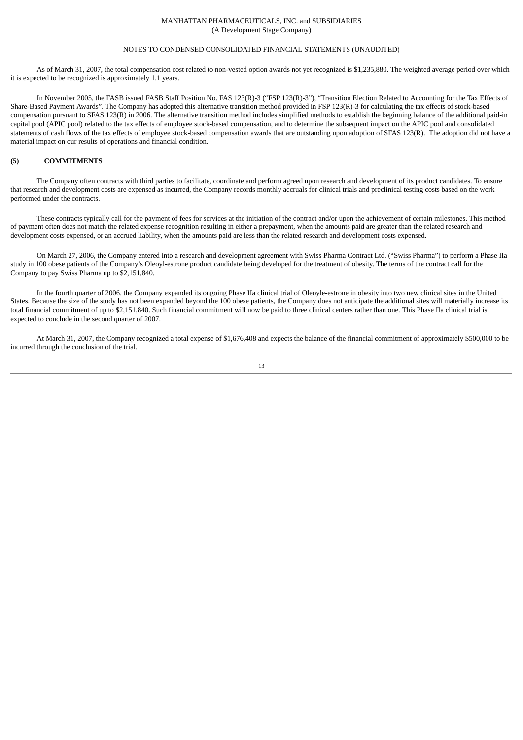## NOTES TO CONDENSED CONSOLIDATED FINANCIAL STATEMENTS (UNAUDITED)

As of March 31, 2007, the total compensation cost related to non-vested option awards not yet recognized is \$1,235,880. The weighted average period over which it is expected to be recognized is approximately 1.1 years.

In November 2005, the FASB issued FASB Staff Position No. FAS 123(R)-3 ("FSP 123(R)-3"), "Transition Election Related to Accounting for the Tax Effects of Share-Based Payment Awards". The Company has adopted this alternative transition method provided in FSP 123(R)-3 for calculating the tax effects of stock-based compensation pursuant to SFAS 123(R) in 2006. The alternative transition method includes simplified methods to establish the beginning balance of the additional paid-in capital pool (APIC pool) related to the tax effects of employee stock-based compensation, and to determine the subsequent impact on the APIC pool and consolidated statements of cash flows of the tax effects of employee stock-based compensation awards that are outstanding upon adoption of SFAS 123(R). The adoption did not have a material impact on our results of operations and financial condition.

## **(5) COMMITMENTS**

The Company often contracts with third parties to facilitate, coordinate and perform agreed upon research and development of its product candidates. To ensure that research and development costs are expensed as incurred, the Company records monthly accruals for clinical trials and preclinical testing costs based on the work performed under the contracts.

These contracts typically call for the payment of fees for services at the initiation of the contract and/or upon the achievement of certain milestones. This method of payment often does not match the related expense recognition resulting in either a prepayment, when the amounts paid are greater than the related research and development costs expensed, or an accrued liability, when the amounts paid are less than the related research and development costs expensed.

On March 27, 2006, the Company entered into a research and development agreement with Swiss Pharma Contract Ltd. ("Swiss Pharma") to perform a Phase IIa study in 100 obese patients of the Company's Oleoyl-estrone product candidate being developed for the treatment of obesity. The terms of the contract call for the Company to pay Swiss Pharma up to \$2,151,840.

In the fourth quarter of 2006, the Company expanded its ongoing Phase IIa clinical trial of Oleoyle-estrone in obesity into two new clinical sites in the United States. Because the size of the study has not been expanded beyond the 100 obese patients, the Company does not anticipate the additional sites will materially increase its total financial commitment of up to \$2,151,840. Such financial commitment will now be paid to three clinical centers rather than one. This Phase IIa clinical trial is expected to conclude in the second quarter of 2007.

At March 31, 2007, the Company recognized a total expense of \$1,676,408 and expects the balance of the financial commitment of approximately \$500,000 to be incurred through the conclusion of the trial.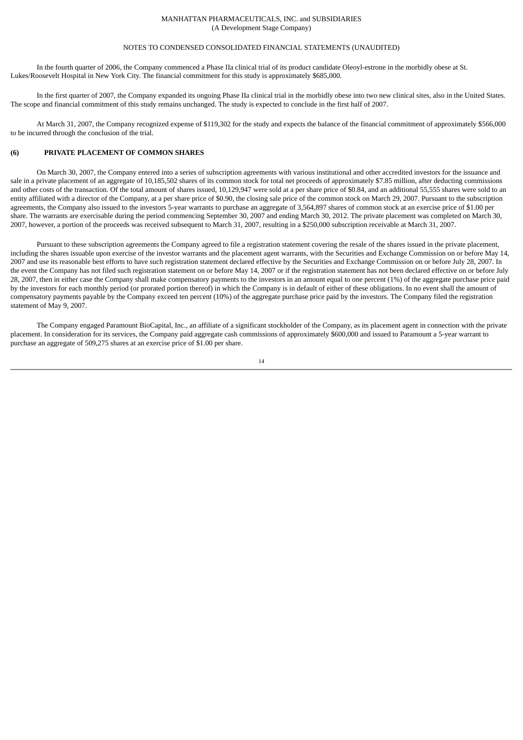## NOTES TO CONDENSED CONSOLIDATED FINANCIAL STATEMENTS (UNAUDITED)

In the fourth quarter of 2006, the Company commenced a Phase IIa clinical trial of its product candidate Oleoyl-estrone in the morbidly obese at St. Lukes/Roosevelt Hospital in New York City. The financial commitment for this study is approximately \$685,000.

In the first quarter of 2007, the Company expanded its ongoing Phase IIa clinical trial in the morbidly obese into two new clinical sites, also in the United States. The scope and financial commitment of this study remains unchanged. The study is expected to conclude in the first half of 2007.

At March 31, 2007, the Company recognized expense of \$119,302 for the study and expects the balance of the financial commitment of approximately \$566,000 to be incurred through the conclusion of the trial.

## **(6) PRIVATE PLACEMENT OF COMMON SHARES**

On March 30, 2007, the Company entered into a series of subscription agreements with various institutional and other accredited investors for the issuance and sale in a private placement of an aggregate of 10,185,502 shares of its common stock for total net proceeds of approximately \$7.85 million, after deducting commissions and other costs of the transaction. Of the total amount of shares issued, 10,129,947 were sold at a per share price of \$0.84, and an additional 55,555 shares were sold to an entity affiliated with a director of the Company, at a per share price of \$0.90, the closing sale price of the common stock on March 29, 2007. Pursuant to the subscription agreements, the Company also issued to the investors 5-year warrants to purchase an aggregate of 3,564,897 shares of common stock at an exercise price of \$1.00 per share. The warrants are exercisable during the period commencing September 30, 2007 and ending March 30, 2012. The private placement was completed on March 30, 2007, however, a portion of the proceeds was received subsequent to March 31, 2007, resulting in a \$250,000 subscription receivable at March 31, 2007.

Pursuant to these subscription agreements the Company agreed to file a registration statement covering the resale of the shares issued in the private placement, including the shares issuable upon exercise of the investor warrants and the placement agent warrants, with the Securities and Exchange Commission on or before May 14, 2007 and use its reasonable best efforts to have such registration statement declared effective by the Securities and Exchange Commission on or before July 28, 2007. In the event the Company has not filed such registration statement on or before May 14, 2007 or if the registration statement has not been declared effective on or before July 28, 2007, then in either case the Company shall make compensatory payments to the investors in an amount equal to one percent (1%) of the aggregate purchase price paid by the investors for each monthly period (or prorated portion thereof) in which the Company is in default of either of these obligations. In no event shall the amount of compensatory payments payable by the Company exceed ten percent (10%) of the aggregate purchase price paid by the investors. The Company filed the registration statement of May 9, 2007.

The Company engaged Paramount BioCapital, Inc., an affiliate of a significant stockholder of the Company, as its placement agent in connection with the private placement. In consideration for its services, the Company paid aggregate cash commissions of approximately \$600,000 and issued to Paramount a 5-year warrant to purchase an aggregate of 509,275 shares at an exercise price of \$1.00 per share.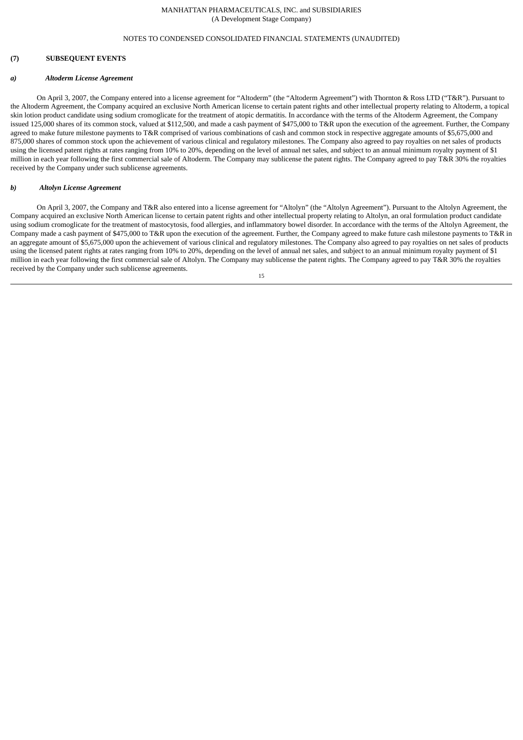## NOTES TO CONDENSED CONSOLIDATED FINANCIAL STATEMENTS (UNAUDITED)

### **(7) SUBSEQUENT EVENTS**

#### *a) Altoderm License Agreement*

On April 3, 2007, the Company entered into a license agreement for "Altoderm" (the "Altoderm Agreement") with Thornton & Ross LTD ("T&R"). Pursuant to the Altoderm Agreement, the Company acquired an exclusive North American license to certain patent rights and other intellectual property relating to Altoderm, a topical skin lotion product candidate using sodium cromoglicate for the treatment of atopic dermatitis. In accordance with the terms of the Altoderm Agreement, the Company issued 125,000 shares of its common stock, valued at \$112,500, and made a cash payment of \$475,000 to T&R upon the execution of the agreement. Further, the Company agreed to make future milestone payments to T&R comprised of various combinations of cash and common stock in respective aggregate amounts of \$5,675,000 and 875,000 shares of common stock upon the achievement of various clinical and regulatory milestones. The Company also agreed to pay royalties on net sales of products using the licensed patent rights at rates ranging from 10% to 20%, depending on the level of annual net sales, and subject to an annual minimum royalty payment of \$1 million in each year following the first commercial sale of Altoderm. The Company may sublicense the patent rights. The Company agreed to pay T&R 30% the royalties received by the Company under such sublicense agreements.

### *b) Altolyn License Agreement*

On April 3, 2007, the Company and T&R also entered into a license agreement for "Altolyn" (the "Altolyn Agreement"). Pursuant to the Altolyn Agreement, the Company acquired an exclusive North American license to certain patent rights and other intellectual property relating to Altolyn, an oral formulation product candidate using sodium cromoglicate for the treatment of mastocytosis, food allergies, and inflammatory bowel disorder. In accordance with the terms of the Altolyn Agreement, the Company made a cash payment of \$475,000 to T&R upon the execution of the agreement. Further, the Company agreed to make future cash milestone payments to T&R in an aggregate amount of \$5,675,000 upon the achievement of various clinical and regulatory milestones. The Company also agreed to pay royalties on net sales of products using the licensed patent rights at rates ranging from 10% to 20%, depending on the level of annual net sales, and subject to an annual minimum royalty payment of \$1 million in each year following the first commercial sale of Altolyn. The Company may sublicense the patent rights. The Company agreed to pay T&R 30% the royalties received by the Company under such sublicense agreements.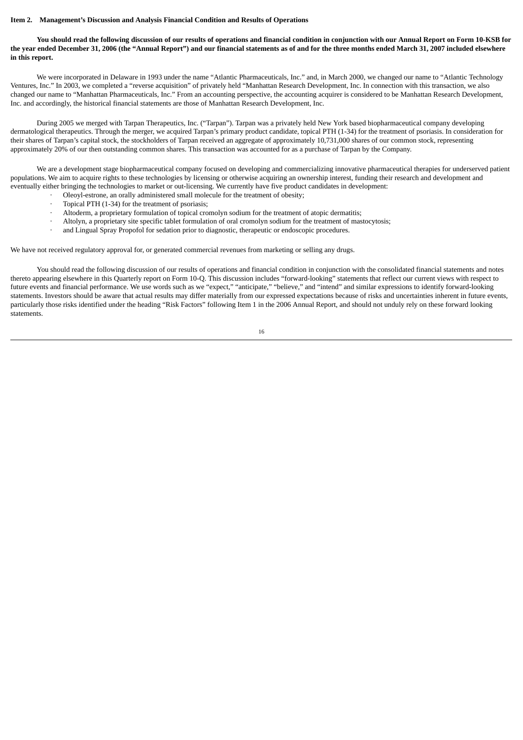### **Item 2. Management's Discussion and Analysis Financial Condition and Results of Operations**

You should read the following discussion of our results of operations and financial condition in conjunction with our Annual Report on Form 10-KSB for the year ended December 31, 2006 (the "Annual Report") and our financial statements as of and for the three months ended March 31, 2007 included elsewhere **in this report.**

We were incorporated in Delaware in 1993 under the name "Atlantic Pharmaceuticals, Inc." and, in March 2000, we changed our name to "Atlantic Technology Ventures, Inc." In 2003, we completed a "reverse acquisition" of privately held "Manhattan Research Development, Inc. In connection with this transaction, we also changed our name to "Manhattan Pharmaceuticals, Inc." From an accounting perspective, the accounting acquirer is considered to be Manhattan Research Development, Inc. and accordingly, the historical financial statements are those of Manhattan Research Development, Inc.

During 2005 we merged with Tarpan Therapeutics, Inc. ("Tarpan"). Tarpan was a privately held New York based biopharmaceutical company developing dermatological therapeutics. Through the merger, we acquired Tarpan's primary product candidate, topical PTH (1-34) for the treatment of psoriasis. In consideration for their shares of Tarpan's capital stock, the stockholders of Tarpan received an aggregate of approximately 10,731,000 shares of our common stock, representing approximately 20% of our then outstanding common shares. This transaction was accounted for as a purchase of Tarpan by the Company.

We are a development stage biopharmaceutical company focused on developing and commercializing innovative pharmaceutical therapies for underserved patient populations. We aim to acquire rights to these technologies by licensing or otherwise acquiring an ownership interest, funding their research and development and eventually either bringing the technologies to market or out-licensing. We currently have five product candidates in development:

- · Oleoyl-estrone, an orally administered small molecule for the treatment of obesity;
- Topical PTH (1-34) for the treatment of psoriasis;
- · Altoderm, a proprietary formulation of topical cromolyn sodium for the treatment of atopic dermatitis;
- · Altolyn, a proprietary site specific tablet formulation of oral cromolyn sodium for the treatment of mastocytosis;
- · and Lingual Spray Propofol for sedation prior to diagnostic, therapeutic or endoscopic procedures.

We have not received regulatory approval for, or generated commercial revenues from marketing or selling any drugs.

You should read the following discussion of our results of operations and financial condition in conjunction with the consolidated financial statements and notes thereto appearing elsewhere in this Quarterly report on Form 10-Q. This discussion includes "forward-looking" statements that reflect our current views with respect to future events and financial performance. We use words such as we "expect," "anticipate," "believe," and "intend" and similar expressions to identify forward-looking statements. Investors should be aware that actual results may differ materially from our expressed expectations because of risks and uncertainties inherent in future events, particularly those risks identified under the heading "Risk Factors" following Item 1 in the 2006 Annual Report, and should not unduly rely on these forward looking statements.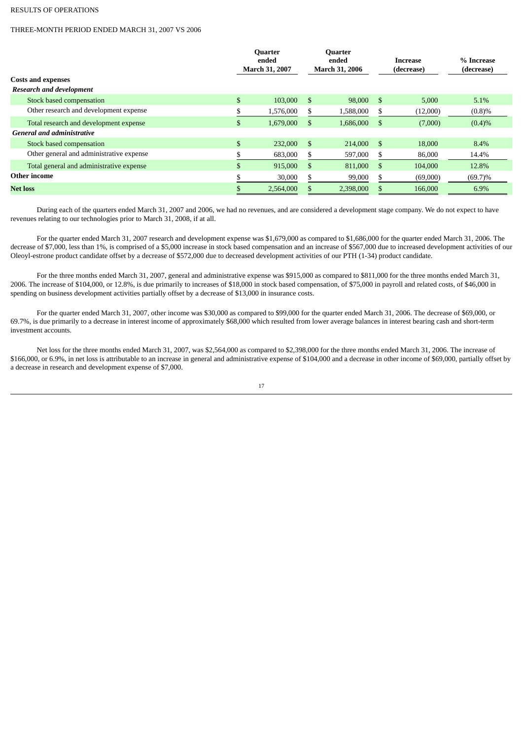## RESULTS OF OPERATIONS

# THREE-MONTH PERIOD ENDED MARCH 31, 2007 VS 2006

| <b>Costs and expenses</b><br><b>Research and development</b> |    | <b>Quarter</b><br>ended<br><b>March 31, 2007</b> |      | <b>Quarter</b><br>ended<br><b>March 31, 2006</b> |               | Increase<br>(decrease) | % Increase<br>(decrease) |
|--------------------------------------------------------------|----|--------------------------------------------------|------|--------------------------------------------------|---------------|------------------------|--------------------------|
| Stock based compensation                                     | \$ | 103,000                                          | -\$  | 98,000                                           | <sup>\$</sup> | 5,000                  | 5.1%                     |
| Other research and development expense                       | \$ | 1,576,000                                        | S    | 1,588,000                                        | S             | (12,000)               | (0.8)%                   |
| Total research and development expense                       | \$ | 1,679,000                                        | -S   | 1,686,000                                        | S             | (7,000)                | (0.4)%                   |
| <b>General and administrative</b>                            |    |                                                  |      |                                                  |               |                        |                          |
| <b>Stock based compensation</b>                              | \$ | 232,000                                          | - \$ | 214,000 \$                                       |               | 18,000                 | 8.4%                     |
| Other general and administrative expense                     | J. | 683,000                                          | S    | 597,000                                          | ъ             | 86,000                 | 14.4%                    |
| Total general and administrative expense                     | \$ | 915,000                                          | -\$  | 811,000                                          | \$            | 104,000                | 12.8%                    |
| Other income                                                 |    | 30,000                                           | \$   | 99,000                                           | S             | (69,000)               | $(69.7)\%$               |
| <b>Net loss</b>                                              |    | 2,564,000                                        |      | 2,398,000                                        |               | 166,000                | 6.9%                     |

During each of the quarters ended March 31, 2007 and 2006, we had no revenues, and are considered a development stage company. We do not expect to have revenues relating to our technologies prior to March 31, 2008, if at all.

For the quarter ended March 31, 2007 research and development expense was \$1,679,000 as compared to \$1,686,000 for the quarter ended March 31, 2006. The decrease of \$7,000, less than 1%, is comprised of a \$5,000 increase in stock based compensation and an increase of \$567,000 due to increased development activities of our Oleoyl-estrone product candidate offset by a decrease of \$572,000 due to decreased development activities of our PTH (1-34) product candidate.

For the three months ended March 31, 2007, general and administrative expense was \$915,000 as compared to \$811,000 for the three months ended March 31, 2006. The increase of \$104,000, or 12.8%, is due primarily to increases of \$18,000 in stock based compensation, of \$75,000 in payroll and related costs, of \$46,000 in spending on business development activities partially offset by a decrease of \$13,000 in insurance costs.

For the quarter ended March 31, 2007, other income was \$30,000 as compared to \$99,000 for the quarter ended March 31, 2006. The decrease of \$69,000, or 69.7%, is due primarily to a decrease in interest income of approximately \$68,000 which resulted from lower average balances in interest bearing cash and short-term investment accounts.

Net loss for the three months ended March 31, 2007, was \$2,564,000 as compared to \$2,398,000 for the three months ended March 31, 2006. The increase of \$166,000, or 6.9%, in net loss is attributable to an increase in general and administrative expense of \$104,000 and a decrease in other income of \$69,000, partially offset by a decrease in research and development expense of \$7,000.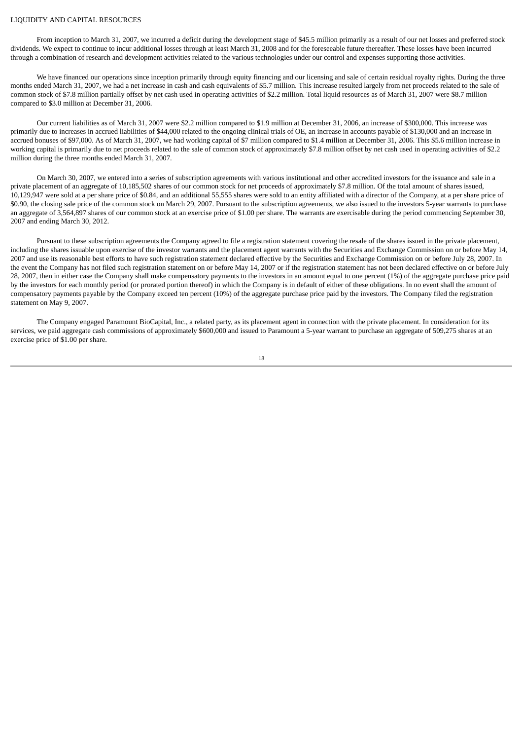#### LIQUIDITY AND CAPITAL RESOURCES

From inception to March 31, 2007, we incurred a deficit during the development stage of \$45.5 million primarily as a result of our net losses and preferred stock dividends. We expect to continue to incur additional losses through at least March 31, 2008 and for the foreseeable future thereafter. These losses have been incurred through a combination of research and development activities related to the various technologies under our control and expenses supporting those activities.

We have financed our operations since inception primarily through equity financing and our licensing and sale of certain residual royalty rights. During the three months ended March 31, 2007, we had a net increase in cash and cash equivalents of \$5.7 million. This increase resulted largely from net proceeds related to the sale of common stock of \$7.8 million partially offset by net cash used in operating activities of \$2.2 million. Total liquid resources as of March 31, 2007 were \$8.7 million compared to \$3.0 million at December 31, 2006.

Our current liabilities as of March 31, 2007 were \$2.2 million compared to \$1.9 million at December 31, 2006, an increase of \$300,000. This increase was primarily due to increases in accrued liabilities of \$44,000 related to the ongoing clinical trials of OE, an increase in accounts payable of \$130,000 and an increase in accrued bonuses of \$97,000. As of March 31, 2007, we had working capital of \$7 million compared to \$1.4 million at December 31, 2006. This \$5.6 million increase in working capital is primarily due to net proceeds related to the sale of common stock of approximately \$7.8 million offset by net cash used in operating activities of \$2.2 million during the three months ended March 31, 2007.

On March 30, 2007, we entered into a series of subscription agreements with various institutional and other accredited investors for the issuance and sale in a private placement of an aggregate of 10,185,502 shares of our common stock for net proceeds of approximately \$7.8 million. Of the total amount of shares issued, 10,129,947 were sold at a per share price of \$0.84, and an additional 55,555 shares were sold to an entity affiliated with a director of the Company, at a per share price of \$0.90, the closing sale price of the common stock on March 29, 2007. Pursuant to the subscription agreements, we also issued to the investors 5-year warrants to purchase an aggregate of 3,564,897 shares of our common stock at an exercise price of \$1.00 per share. The warrants are exercisable during the period commencing September 30, 2007 and ending March 30, 2012.

Pursuant to these subscription agreements the Company agreed to file a registration statement covering the resale of the shares issued in the private placement, including the shares issuable upon exercise of the investor warrants and the placement agent warrants with the Securities and Exchange Commission on or before May 14, 2007 and use its reasonable best efforts to have such registration statement declared effective by the Securities and Exchange Commission on or before July 28, 2007. In the event the Company has not filed such registration statement on or before May 14, 2007 or if the registration statement has not been declared effective on or before July 28, 2007, then in either case the Company shall make compensatory payments to the investors in an amount equal to one percent (1%) of the aggregate purchase price paid by the investors for each monthly period (or prorated portion thereof) in which the Company is in default of either of these obligations. In no event shall the amount of compensatory payments payable by the Company exceed ten percent (10%) of the aggregate purchase price paid by the investors. The Company filed the registration statement on May 9, 2007.

The Company engaged Paramount BioCapital, Inc., a related party, as its placement agent in connection with the private placement. In consideration for its services, we paid aggregate cash commissions of approximately \$600,000 and issued to Paramount a 5-year warrant to purchase an aggregate of 509,275 shares at an exercise price of \$1.00 per share.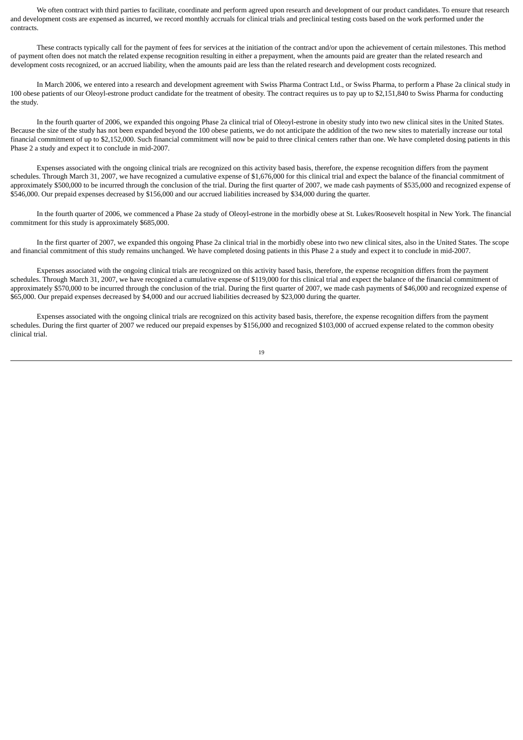We often contract with third parties to facilitate, coordinate and perform agreed upon research and development of our product candidates. To ensure that research and development costs are expensed as incurred, we record monthly accruals for clinical trials and preclinical testing costs based on the work performed under the contracts.

These contracts typically call for the payment of fees for services at the initiation of the contract and/or upon the achievement of certain milestones. This method of payment often does not match the related expense recognition resulting in either a prepayment, when the amounts paid are greater than the related research and development costs recognized, or an accrued liability, when the amounts paid are less than the related research and development costs recognized.

In March 2006, we entered into a research and development agreement with Swiss Pharma Contract Ltd., or Swiss Pharma, to perform a Phase 2a clinical study in 100 obese patients of our Oleoyl-estrone product candidate for the treatment of obesity. The contract requires us to pay up to \$2,151,840 to Swiss Pharma for conducting the study.

In the fourth quarter of 2006, we expanded this ongoing Phase 2a clinical trial of Oleoyl-estrone in obesity study into two new clinical sites in the United States. Because the size of the study has not been expanded beyond the 100 obese patients, we do not anticipate the addition of the two new sites to materially increase our total financial commitment of up to \$2,152,000. Such financial commitment will now be paid to three clinical centers rather than one. We have completed dosing patients in this Phase 2 a study and expect it to conclude in mid-2007.

Expenses associated with the ongoing clinical trials are recognized on this activity based basis, therefore, the expense recognition differs from the payment schedules. Through March 31, 2007, we have recognized a cumulative expense of \$1,676,000 for this clinical trial and expect the balance of the financial commitment of approximately \$500,000 to be incurred through the conclusion of the trial. During the first quarter of 2007, we made cash payments of \$535,000 and recognized expense of \$546,000. Our prepaid expenses decreased by \$156,000 and our accrued liabilities increased by \$34,000 during the quarter.

In the fourth quarter of 2006, we commenced a Phase 2a study of Oleoyl-estrone in the morbidly obese at St. Lukes/Roosevelt hospital in New York. The financial commitment for this study is approximately \$685,000.

In the first quarter of 2007, we expanded this ongoing Phase 2a clinical trial in the morbidly obese into two new clinical sites, also in the United States. The scope and financial commitment of this study remains unchanged. We have completed dosing patients in this Phase 2 a study and expect it to conclude in mid-2007.

Expenses associated with the ongoing clinical trials are recognized on this activity based basis, therefore, the expense recognition differs from the payment schedules. Through March 31, 2007, we have recognized a cumulative expense of \$119,000 for this clinical trial and expect the balance of the financial commitment of approximately \$570,000 to be incurred through the conclusion of the trial. During the first quarter of 2007, we made cash payments of \$46,000 and recognized expense of \$65,000. Our prepaid expenses decreased by \$4,000 and our accrued liabilities decreased by \$23,000 during the quarter.

Expenses associated with the ongoing clinical trials are recognized on this activity based basis, therefore, the expense recognition differs from the payment schedules. During the first quarter of 2007 we reduced our prepaid expenses by \$156,000 and recognized \$103,000 of accrued expense related to the common obesity clinical trial.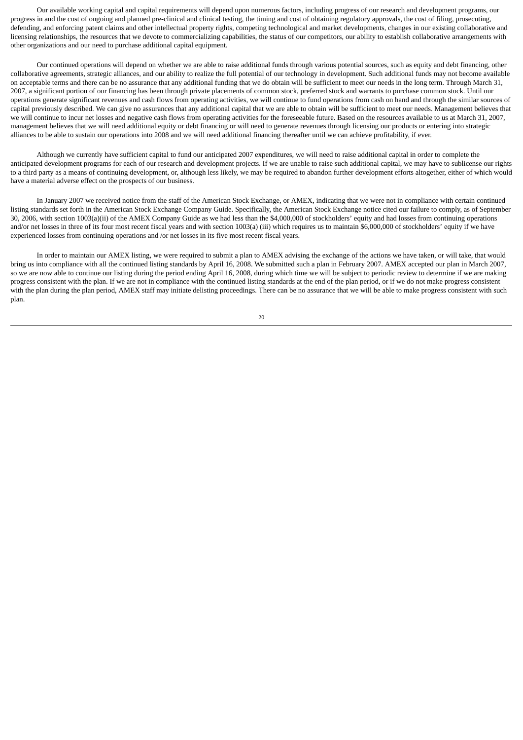Our available working capital and capital requirements will depend upon numerous factors, including progress of our research and development programs, our progress in and the cost of ongoing and planned pre-clinical and clinical testing, the timing and cost of obtaining regulatory approvals, the cost of filing, prosecuting, defending, and enforcing patent claims and other intellectual property rights, competing technological and market developments, changes in our existing collaborative and licensing relationships, the resources that we devote to commercializing capabilities, the status of our competitors, our ability to establish collaborative arrangements with other organizations and our need to purchase additional capital equipment.

Our continued operations will depend on whether we are able to raise additional funds through various potential sources, such as equity and debt financing, other collaborative agreements, strategic alliances, and our ability to realize the full potential of our technology in development. Such additional funds may not become available on acceptable terms and there can be no assurance that any additional funding that we do obtain will be sufficient to meet our needs in the long term. Through March 31, 2007, a significant portion of our financing has been through private placements of common stock, preferred stock and warrants to purchase common stock. Until our operations generate significant revenues and cash flows from operating activities, we will continue to fund operations from cash on hand and through the similar sources of capital previously described. We can give no assurances that any additional capital that we are able to obtain will be sufficient to meet our needs. Management believes that we will continue to incur net losses and negative cash flows from operating activities for the foreseeable future. Based on the resources available to us at March 31, 2007, management believes that we will need additional equity or debt financing or will need to generate revenues through licensing our products or entering into strategic alliances to be able to sustain our operations into 2008 and we will need additional financing thereafter until we can achieve profitability, if ever.

Although we currently have sufficient capital to fund our anticipated 2007 expenditures, we will need to raise additional capital in order to complete the anticipated development programs for each of our research and development projects. If we are unable to raise such additional capital, we may have to sublicense our rights to a third party as a means of continuing development, or, although less likely, we may be required to abandon further development efforts altogether, either of which would have a material adverse effect on the prospects of our business.

In January 2007 we received notice from the staff of the American Stock Exchange, or AMEX, indicating that we were not in compliance with certain continued listing standards set forth in the American Stock Exchange Company Guide. Specifically, the American Stock Exchange notice cited our failure to comply, as of September 30, 2006, with section 1003(a)(ii) of the AMEX Company Guide as we had less than the \$4,000,000 of stockholders' equity and had losses from continuing operations and/or net losses in three of its four most recent fiscal years and with section 1003(a) (iii) which requires us to maintain \$6,000,000 of stockholders' equity if we have experienced losses from continuing operations and /or net losses in its five most recent fiscal years.

In order to maintain our AMEX listing, we were required to submit a plan to AMEX advising the exchange of the actions we have taken, or will take, that would bring us into compliance with all the continued listing standards by April 16, 2008. We submitted such a plan in February 2007. AMEX accepted our plan in March 2007, so we are now able to continue our listing during the period ending April 16, 2008, during which time we will be subject to periodic review to determine if we are making progress consistent with the plan. If we are not in compliance with the continued listing standards at the end of the plan period, or if we do not make progress consistent with the plan during the plan period, AMEX staff may initiate delisting proceedings. There can be no assurance that we will be able to make progress consistent with such plan.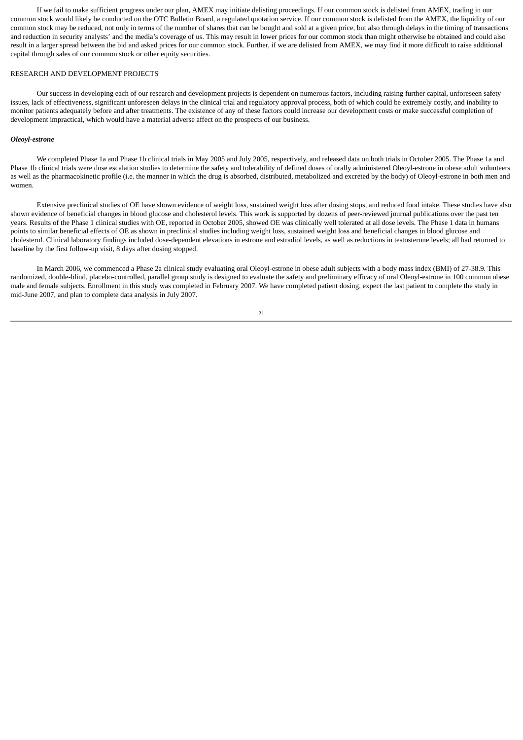If we fail to make sufficient progress under our plan, AMEX may initiate delisting proceedings. If our common stock is delisted from AMEX, trading in our common stock would likely be conducted on the OTC Bulletin Board, a regulated quotation service. If our common stock is delisted from the AMEX, the liquidity of our common stock may be reduced, not only in terms of the number of shares that can be bought and sold at a given price, but also through delays in the timing of transactions and reduction in security analysts' and the media's coverage of us. This may result in lower prices for our common stock than might otherwise be obtained and could also result in a larger spread between the bid and asked prices for our common stock. Further, if we are delisted from AMEX, we may find it more difficult to raise additional capital through sales of our common stock or other equity securities.

#### RESEARCH AND DEVELOPMENT PROJECTS

Our success in developing each of our research and development projects is dependent on numerous factors, including raising further capital, unforeseen safety issues, lack of effectiveness, significant unforeseen delays in the clinical trial and regulatory approval process, both of which could be extremely costly, and inability to monitor patients adequately before and after treatments. The existence of any of these factors could increase our development costs or make successful completion of development impractical, which would have a material adverse affect on the prospects of our business.

#### *Oleoyl-estrone*

We completed Phase 1a and Phase 1b clinical trials in May 2005 and July 2005, respectively, and released data on both trials in October 2005. The Phase 1a and Phase 1b clinical trials were dose escalation studies to determine the safety and tolerability of defined doses of orally administered Oleoyl-estrone in obese adult volunteers as well as the pharmacokinetic profile (i.e. the manner in which the drug is absorbed, distributed, metabolized and excreted by the body) of Oleoyl-estrone in both men and women.

Extensive preclinical studies of OE have shown evidence of weight loss, sustained weight loss after dosing stops, and reduced food intake. These studies have also shown evidence of beneficial changes in blood glucose and cholesterol levels. This work is supported by dozens of peer-reviewed journal publications over the past ten years. Results of the Phase 1 clinical studies with OE, reported in October 2005, showed OE was clinically well tolerated at all dose levels. The Phase 1 data in humans points to similar beneficial effects of OE as shown in preclinical studies including weight loss, sustained weight loss and beneficial changes in blood glucose and cholesterol. Clinical laboratory findings included dose-dependent elevations in estrone and estradiol levels, as well as reductions in testosterone levels; all had returned to baseline by the first follow-up visit, 8 days after dosing stopped.

In March 2006, we commenced a Phase 2a clinical study evaluating oral Oleoyl-estrone in obese adult subjects with a body mass index (BMI) of 27-38.9. This randomized, double-blind, placebo-controlled, parallel group study is designed to evaluate the safety and preliminary efficacy of oral Oleoyl-estrone in 100 common obese male and female subjects. Enrollment in this study was completed in February 2007. We have completed patient dosing, expect the last patient to complete the study in mid-June 2007, and plan to complete data analysis in July 2007.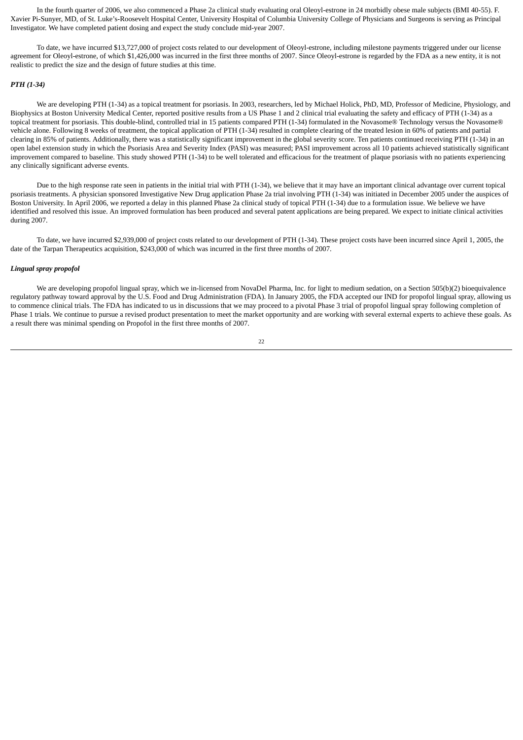In the fourth quarter of 2006, we also commenced a Phase 2a clinical study evaluating oral Oleoyl-estrone in 24 morbidly obese male subjects (BMI 40-55). F. Xavier Pi-Sunyer, MD, of St. Luke's-Roosevelt Hospital Center, University Hospital of Columbia University College of Physicians and Surgeons is serving as Principal Investigator. We have completed patient dosing and expect the study conclude mid-year 2007.

To date, we have incurred \$13,727,000 of project costs related to our development of Oleoyl-estrone, including milestone payments triggered under our license agreement for Oleoyl-estrone, of which \$1,426,000 was incurred in the first three months of 2007. Since Oleoyl-estrone is regarded by the FDA as a new entity, it is not realistic to predict the size and the design of future studies at this time.

## *PTH (1-34)*

We are developing PTH (1-34) as a topical treatment for psoriasis. In 2003, researchers, led by Michael Holick, PhD, MD, Professor of Medicine, Physiology, and Biophysics at Boston University Medical Center, reported positive results from a US Phase 1 and 2 clinical trial evaluating the safety and efficacy of PTH (1-34) as a topical treatment for psoriasis. This double-blind, controlled trial in 15 patients compared PTH (1-34) formulated in the Novasome® Technology versus the Novasome® vehicle alone. Following 8 weeks of treatment, the topical application of PTH (1-34) resulted in complete clearing of the treated lesion in 60% of patients and partial clearing in 85% of patients. Additionally, there was a statistically significant improvement in the global severity score. Ten patients continued receiving PTH (1-34) in an open label extension study in which the Psoriasis Area and Severity Index (PASI) was measured; PASI improvement across all 10 patients achieved statistically significant improvement compared to baseline. This study showed PTH (1-34) to be well tolerated and efficacious for the treatment of plaque psoriasis with no patients experiencing any clinically significant adverse events.

Due to the high response rate seen in patients in the initial trial with PTH (1-34), we believe that it may have an important clinical advantage over current topical psoriasis treatments. A physician sponsored Investigative New Drug application Phase 2a trial involving PTH (1-34) was initiated in December 2005 under the auspices of Boston University. In April 2006, we reported a delay in this planned Phase 2a clinical study of topical PTH (1-34) due to a formulation issue. We believe we have identified and resolved this issue. An improved formulation has been produced and several patent applications are being prepared. We expect to initiate clinical activities during 2007.

To date, we have incurred \$2,939,000 of project costs related to our development of PTH (1-34). These project costs have been incurred since April 1, 2005, the date of the Tarpan Therapeutics acquisition, \$243,000 of which was incurred in the first three months of 2007.

#### *Lingual spray propofol*

We are developing propofol lingual spray, which we in-licensed from NovaDel Pharma, Inc. for light to medium sedation, on a Section 505(b)(2) bioequivalence regulatory pathway toward approval by the U.S. Food and Drug Administration (FDA). In January 2005, the FDA accepted our IND for propofol lingual spray, allowing us to commence clinical trials. The FDA has indicated to us in discussions that we may proceed to a pivotal Phase 3 trial of propofol lingual spray following completion of Phase 1 trials. We continue to pursue a revised product presentation to meet the market opportunity and are working with several external experts to achieve these goals. As a result there was minimal spending on Propofol in the first three months of 2007.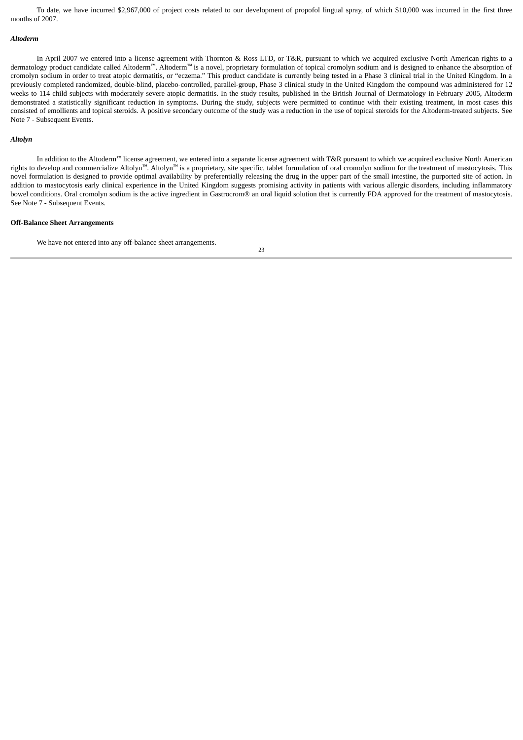To date, we have incurred \$2,967,000 of project costs related to our development of propofol lingual spray, of which \$10,000 was incurred in the first three months of 2007.

#### *Altoderm*

In April 2007 we entered into a license agreement with Thornton & Ross LTD, or T&R, pursuant to which we acquired exclusive North American rights to a dermatology product candidate called Altoderm*™*. Altoderm*™* is a novel, proprietary formulation of topical cromolyn sodium and is designed to enhance the absorption of cromolyn sodium in order to treat atopic dermatitis, or "eczema." This product candidate is currently being tested in a Phase 3 clinical trial in the United Kingdom. In a previously completed randomized, double-blind, placebo-controlled, parallel-group, Phase 3 clinical study in the United Kingdom the compound was administered for 12 weeks to 114 child subjects with moderately severe atopic dermatitis. In the study results, published in the British Journal of Dermatology in February 2005, Altoderm demonstrated a statistically significant reduction in symptoms. During the study, subjects were permitted to continue with their existing treatment, in most cases this consisted of emollients and topical steroids. A positive secondary outcome of the study was a reduction in the use of topical steroids for the Altoderm-treated subjects. See Note 7 - Subsequent Events.

#### *Altolyn*

In addition to the Altoderm*™* license agreement, we entered into a separate license agreement with T&R pursuant to which we acquired exclusive North American rights to develop and commercialize Altolyn*™*. Altolyn*™* is a proprietary, site specific, tablet formulation of oral cromolyn sodium for the treatment of mastocytosis. This novel formulation is designed to provide optimal availability by preferentially releasing the drug in the upper part of the small intestine, the purported site of action. In addition to mastocytosis early clinical experience in the United Kingdom suggests promising activity in patients with various allergic disorders, including inflammatory bowel conditions. Oral cromolyn sodium is the active ingredient in Gastrocrom® an oral liquid solution that is currently FDA approved for the treatment of mastocytosis. See Note 7 - Subsequent Events.

#### **Off-Balance Sheet Arrangements**

We have not entered into any off-balance sheet arrangements.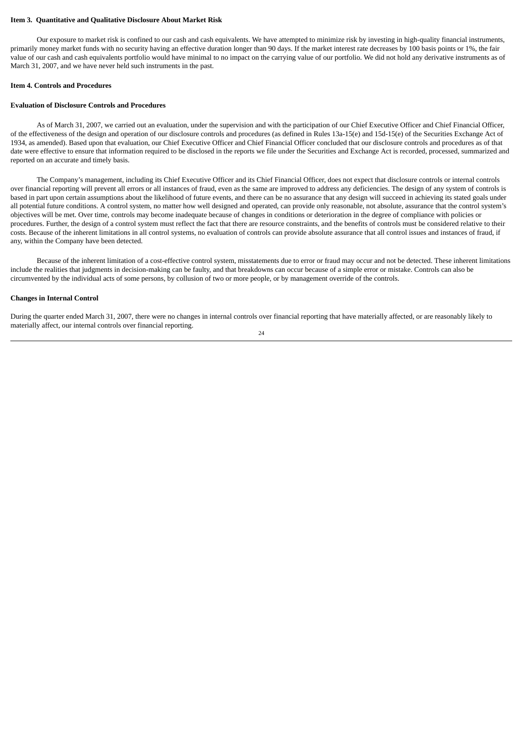### **Item 3. Quantitative and Qualitative Disclosure About Market Risk**

Our exposure to market risk is confined to our cash and cash equivalents. We have attempted to minimize risk by investing in high-quality financial instruments, primarily money market funds with no security having an effective duration longer than 90 days. If the market interest rate decreases by 100 basis points or 1%, the fair value of our cash and cash equivalents portfolio would have minimal to no impact on the carrying value of our portfolio. We did not hold any derivative instruments as of March 31, 2007, and we have never held such instruments in the past.

#### **Item 4. Controls and Procedures**

#### **Evaluation of Disclosure Controls and Procedures**

As of March 31, 2007, we carried out an evaluation, under the supervision and with the participation of our Chief Executive Officer and Chief Financial Officer, of the effectiveness of the design and operation of our disclosure controls and procedures (as defined in Rules 13a-15(e) and 15d-15(e) of the Securities Exchange Act of 1934, as amended). Based upon that evaluation, our Chief Executive Officer and Chief Financial Officer concluded that our disclosure controls and procedures as of that date were effective to ensure that information required to be disclosed in the reports we file under the Securities and Exchange Act is recorded, processed, summarized and reported on an accurate and timely basis.

The Company's management, including its Chief Executive Officer and its Chief Financial Officer, does not expect that disclosure controls or internal controls over financial reporting will prevent all errors or all instances of fraud, even as the same are improved to address any deficiencies. The design of any system of controls is based in part upon certain assumptions about the likelihood of future events, and there can be no assurance that any design will succeed in achieving its stated goals under all potential future conditions. A control system, no matter how well designed and operated, can provide only reasonable, not absolute, assurance that the control system's objectives will be met. Over time, controls may become inadequate because of changes in conditions or deterioration in the degree of compliance with policies or procedures. Further, the design of a control system must reflect the fact that there are resource constraints, and the benefits of controls must be considered relative to their costs. Because of the inherent limitations in all control systems, no evaluation of controls can provide absolute assurance that all control issues and instances of fraud, if any, within the Company have been detected.

Because of the inherent limitation of a cost-effective control system, misstatements due to error or fraud may occur and not be detected. These inherent limitations include the realities that judgments in decision-making can be faulty, and that breakdowns can occur because of a simple error or mistake. Controls can also be circumvented by the individual acts of some persons, by collusion of two or more people, or by management override of the controls.

#### **Changes in Internal Control**

During the quarter ended March 31, 2007, there were no changes in internal controls over financial reporting that have materially affected, or are reasonably likely to materially affect, our internal controls over financial reporting.

 $\overline{24}$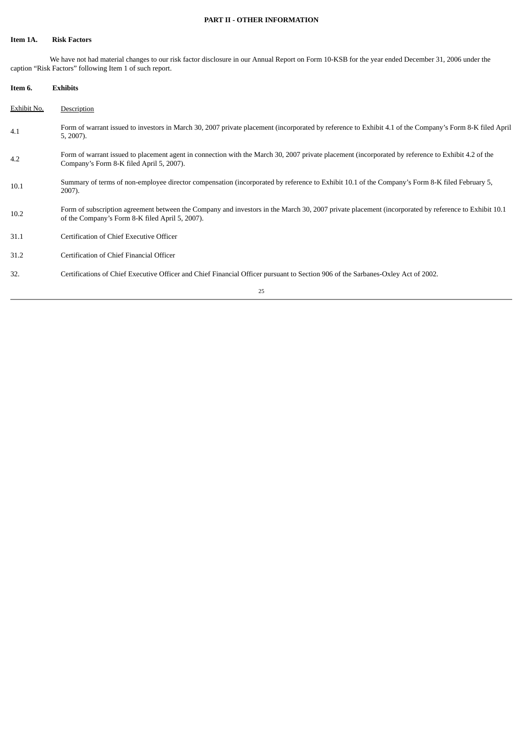# **PART II - OTHER INFORMATION**

## **Item 1A. Risk Factors**

We have not had material changes to our risk factor disclosure in our Annual Report on Form 10-KSB for the year ended December 31, 2006 under the caption "Risk Factors" following Item 1 of such report.

| Item 6.     | <b>Exhibits</b>                                                                                                                                                                                        |
|-------------|--------------------------------------------------------------------------------------------------------------------------------------------------------------------------------------------------------|
| Exhibit No. | <b>Description</b>                                                                                                                                                                                     |
| 4.1         | Form of warrant issued to investors in March 30, 2007 private placement (incorporated by reference to Exhibit 4.1 of the Company's Form 8-K filed April<br>5, 2007).                                   |
| 4.2         | Form of warrant issued to placement agent in connection with the March 30, 2007 private placement (incorporated by reference to Exhibit 4.2 of the<br>Company's Form 8-K filed April 5, 2007).         |
| 10.1        | Summary of terms of non-employee director compensation (incorporated by reference to Exhibit 10.1 of the Company's Form 8-K filed February 5,<br>2007).                                                |
| 10.2        | Form of subscription agreement between the Company and investors in the March 30, 2007 private placement (incorporated by reference to Exhibit 10.1<br>of the Company's Form 8-K filed April 5, 2007). |
| 31.1        | Certification of Chief Executive Officer                                                                                                                                                               |
| 31.2        | Certification of Chief Financial Officer                                                                                                                                                               |
| 32.         | Certifications of Chief Executive Officer and Chief Financial Officer pursuant to Section 906 of the Sarbanes-Oxley Act of 2002.                                                                       |
|             | 25                                                                                                                                                                                                     |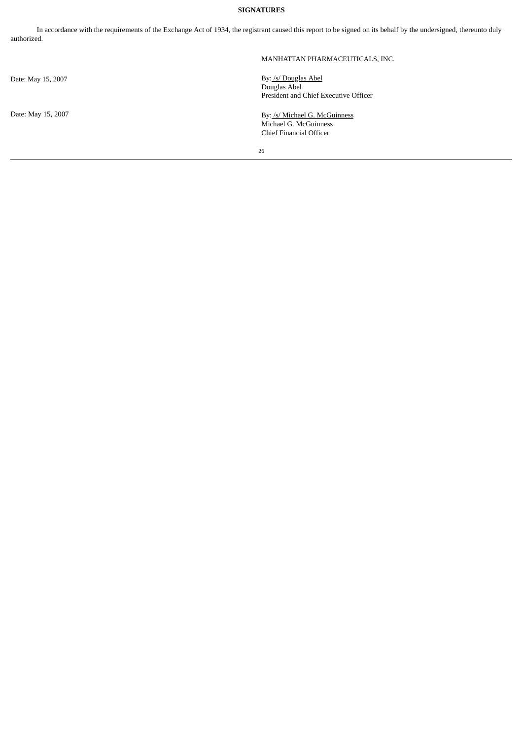## **SIGNATURES**

In accordance with the requirements of the Exchange Act of 1934, the registrant caused this report to be signed on its behalf by the undersigned, thereunto duly authorized.

Date: May 15, 2007 By: /s/ Douglas Abel

MANHATTAN PHARMACEUTICALS, INC.

Douglas Abel President and Chief Executive Officer

Date: May 15, 2007 **By:** /s/ Michael G. McGuinness Michael G. McGuinness Chief Financial Officer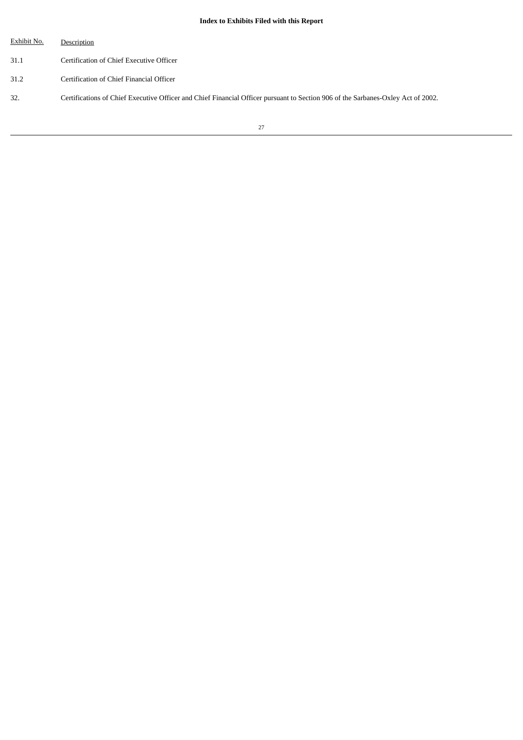# **Index to Exhibits Filed with this Report**

| Exhibit No. | Description                                                                                                                      |
|-------------|----------------------------------------------------------------------------------------------------------------------------------|
| 31.1        | Certification of Chief Executive Officer                                                                                         |
| 31.2        | Certification of Chief Financial Officer                                                                                         |
| 32.         | Certifications of Chief Executive Officer and Chief Financial Officer pursuant to Section 906 of the Sarbanes-Oxley Act of 2002. |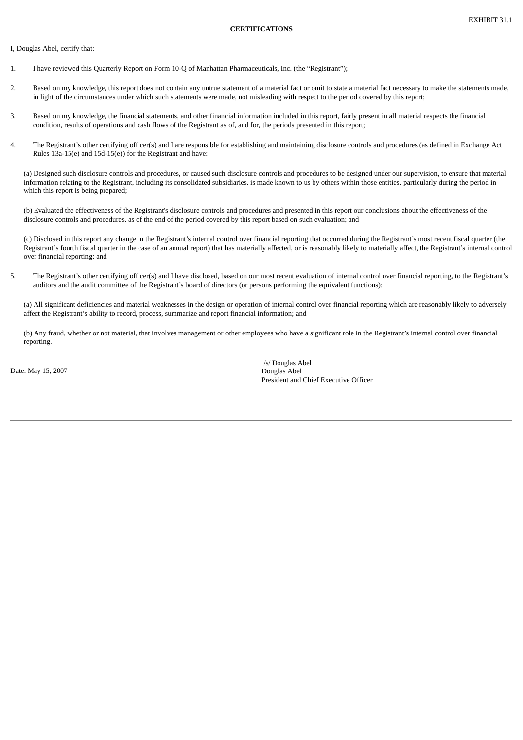#### I, Douglas Abel, certify that:

- 1. I have reviewed this Quarterly Report on Form 10-Q of Manhattan Pharmaceuticals, Inc. (the "Registrant");
- 2. Based on my knowledge, this report does not contain any untrue statement of a material fact or omit to state a material fact necessary to make the statements made, in light of the circumstances under which such statements were made, not misleading with respect to the period covered by this report;
- 3. Based on my knowledge, the financial statements, and other financial information included in this report, fairly present in all material respects the financial condition, results of operations and cash flows of the Registrant as of, and for, the periods presented in this report;
- 4. The Registrant's other certifying officer(s) and I are responsible for establishing and maintaining disclosure controls and procedures (as defined in Exchange Act Rules 13a-15(e) and 15d-15(e)) for the Registrant and have:

(a) Designed such disclosure controls and procedures, or caused such disclosure controls and procedures to be designed under our supervision, to ensure that material information relating to the Registrant, including its consolidated subsidiaries, is made known to us by others within those entities, particularly during the period in which this report is being prepared:

(b) Evaluated the effectiveness of the Registrant's disclosure controls and procedures and presented in this report our conclusions about the effectiveness of the disclosure controls and procedures, as of the end of the period covered by this report based on such evaluation; and

(c) Disclosed in this report any change in the Registrant's internal control over financial reporting that occurred during the Registrant's most recent fiscal quarter (the Registrant's fourth fiscal quarter in the case of an annual report) that has materially affected, or is reasonably likely to materially affect, the Registrant's internal control over financial reporting; and

5. The Registrant's other certifying officer(s) and I have disclosed, based on our most recent evaluation of internal control over financial reporting, to the Registrant's auditors and the audit committee of the Registrant's board of directors (or persons performing the equivalent functions):

(a) All significant deficiencies and material weaknesses in the design or operation of internal control over financial reporting which are reasonably likely to adversely affect the Registrant's ability to record, process, summarize and report financial information; and

(b) Any fraud, whether or not material, that involves management or other employees who have a significant role in the Registrant's internal control over financial reporting.

Date: May 15, 2007

/s/ Douglas Abel Douglas Abel President and Chief Executive Officer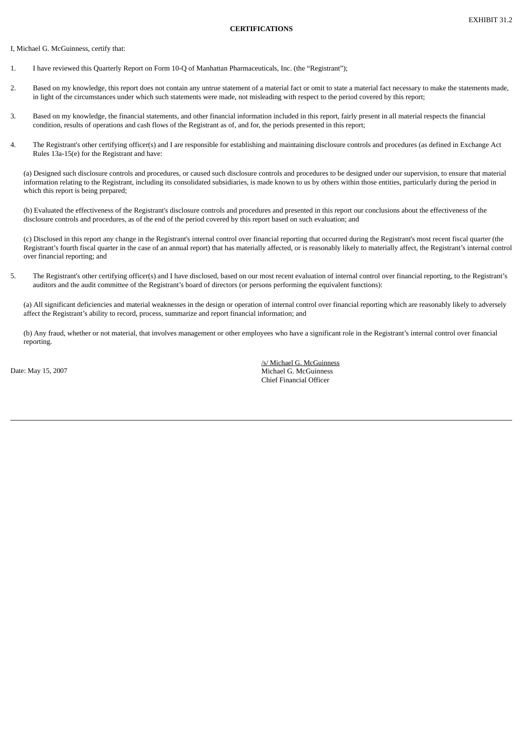### I, Michael G. McGuinness, certify that:

- 1. I have reviewed this Quarterly Report on Form 10-Q of Manhattan Pharmaceuticals, Inc. (the "Registrant");
- 2. Based on my knowledge, this report does not contain any untrue statement of a material fact or omit to state a material fact necessary to make the statements made, in light of the circumstances under which such statements were made, not misleading with respect to the period covered by this report;
- 3. Based on my knowledge, the financial statements, and other financial information included in this report, fairly present in all material respects the financial condition, results of operations and cash flows of the Registrant as of, and for, the periods presented in this report;
- 4. The Registrant's other certifying officer(s) and I are responsible for establishing and maintaining disclosure controls and procedures (as defined in Exchange Act Rules 13a-15(e) for the Registrant and have:

(a) Designed such disclosure controls and procedures, or caused such disclosure controls and procedures to be designed under our supervision, to ensure that material information relating to the Registrant, including its consolidated subsidiaries, is made known to us by others within those entities, particularly during the period in which this report is being prepared:

(b) Evaluated the effectiveness of the Registrant's disclosure controls and procedures and presented in this report our conclusions about the effectiveness of the disclosure controls and procedures, as of the end of the period covered by this report based on such evaluation; and

(c) Disclosed in this report any change in the Registrant's internal control over financial reporting that occurred during the Registrant's most recent fiscal quarter (the Registrant's fourth fiscal quarter in the case of an annual report) that has materially affected, or is reasonably likely to materially affect, the Registrant's internal control over financial reporting; and

5. The Registrant's other certifying officer(s) and I have disclosed, based on our most recent evaluation of internal control over financial reporting, to the Registrant's auditors and the audit committee of the Registrant's board of directors (or persons performing the equivalent functions):

(a) All significant deficiencies and material weaknesses in the design or operation of internal control over financial reporting which are reasonably likely to adversely affect the Registrant's ability to record, process, summarize and report financial information; and

(b) Any fraud, whether or not material, that involves management or other employees who have a significant role in the Registrant's internal control over financial reporting.

Date: May 15, 2007

/s/ Michael G. McGuinness Michael G. McGuinness Chief Financial Officer